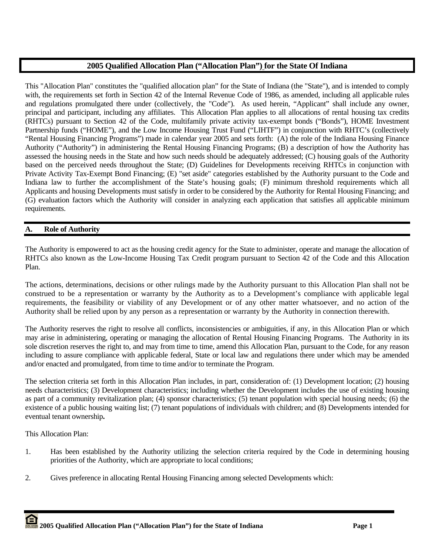## **2005 Qualified Allocation Plan ("Allocation Plan") for the State Of Indiana**

This "Allocation Plan" constitutes the "qualified allocation plan" for the State of Indiana (the "State"), and is intended to comply with, the requirements set forth in Section 42 of the Internal Revenue Code of 1986, as amended, including all applicable rules and regulations promulgated there under (collectively, the "Code"). As used herein, "Applicant" shall include any owner, principal and participant, including any affiliates. This Allocation Plan applies to all allocations of rental housing tax credits (RHTCs) pursuant to Section 42 of the Code, multifamily private activity tax-exempt bonds ("Bonds"), HOME Investment Partnership funds ("HOME"), and the Low Income Housing Trust Fund ("LIHTF") in conjunction with RHTC's (collectively "Rental Housing Financing Programs") made in calendar year 2005 and sets forth: (A) the role of the Indiana Housing Finance Authority ("Authority") in administering the Rental Housing Financing Programs; (B) a description of how the Authority has assessed the housing needs in the State and how such needs should be adequately addressed; (C) housing goals of the Authority based on the perceived needs throughout the State; (D) Guidelines for Developments receiving RHTCs in conjunction with Private Activity Tax-Exempt Bond Financing; (E) "set aside" categories established by the Authority pursuant to the Code and Indiana law to further the accomplishment of the State's housing goals; (F) minimum threshold requirements which all Applicants and housing Developments must satisfy in order to be considered by the Authority for Rental Housing Financing; and (G) evaluation factors which the Authority will consider in analyzing each application that satisfies all applicable minimum requirements.

## **A. Role of Authority**

The Authority is empowered to act as the housing credit agency for the State to administer, operate and manage the allocation of RHTCs also known as the Low-Income Housing Tax Credit program pursuant to Section 42 of the Code and this Allocation Plan.

The actions, determinations, decisions or other rulings made by the Authority pursuant to this Allocation Plan shall not be construed to be a representation or warranty by the Authority as to a Development's compliance with applicable legal requirements, the feasibility or viability of any Development or of any other matter whatsoever, and no action of the Authority shall be relied upon by any person as a representation or warranty by the Authority in connection therewith.

The Authority reserves the right to resolve all conflicts, inconsistencies or ambiguities, if any, in this Allocation Plan or which may arise in administering, operating or managing the allocation of Rental Housing Financing Programs. The Authority in its sole discretion reserves the right to, and may from time to time, amend this Allocation Plan, pursuant to the Code, for any reason including to assure compliance with applicable federal, State or local law and regulations there under which may be amended and/or enacted and promulgated, from time to time and/or to terminate the Program.

The selection criteria set forth in this Allocation Plan includes, in part, consideration of: (1) Development location; (2) housing needs characteristics; (3) Development characteristics; including whether the Development includes the use of existing housing as part of a community revitalization plan; (4) sponsor characteristics; (5) tenant population with special housing needs; (6) the existence of a public housing waiting list; (7) tenant populations of individuals with children; and (8) Developments intended for eventual tenant ownership**.** 

This Allocation Plan:

- 1. Has been established by the Authority utilizing the selection criteria required by the Code in determining housing priorities of the Authority, which are appropriate to local conditions;
- 2. Gives preference in allocating Rental Housing Financing among selected Developments which: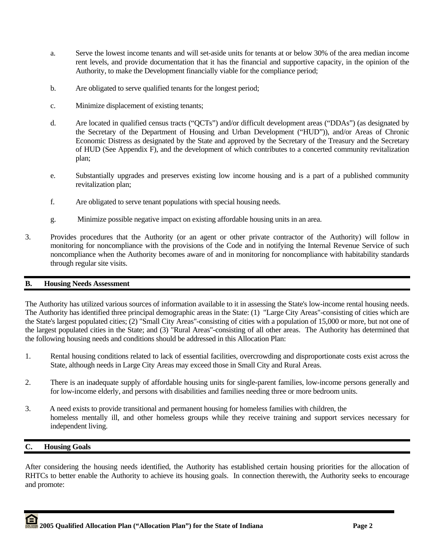- a. Serve the lowest income tenants and will set-aside units for tenants at or below 30% of the area median income rent levels, and provide documentation that it has the financial and supportive capacity, in the opinion of the Authority, to make the Development financially viable for the compliance period;
- b. Are obligated to serve qualified tenants for the longest period;
- c. Minimize displacement of existing tenants;
- d. Are located in qualified census tracts ("QCTs") and/or difficult development areas ("DDAs") (as designated by the Secretary of the Department of Housing and Urban Development ("HUD")), and/or Areas of Chronic Economic Distress as designated by the State and approved by the Secretary of the Treasury and the Secretary of HUD (See Appendix F), and the development of which contributes to a concerted community revitalization plan;
- e. Substantially upgrades and preserves existing low income housing and is a part of a published community revitalization plan;
- f. Are obligated to serve tenant populations with special housing needs.
- g. Minimize possible negative impact on existing affordable housing units in an area.
- 3. Provides procedures that the Authority (or an agent or other private contractor of the Authority) will follow in monitoring for noncompliance with the provisions of the Code and in notifying the Internal Revenue Service of such noncompliance when the Authority becomes aware of and in monitoring for noncompliance with habitability standards through regular site visits.

## **B. Housing Needs Assessment**

The Authority has utilized various sources of information available to it in assessing the State's low-income rental housing needs. The Authority has identified three principal demographic areas in the State: (1) "Large City Areas"-consisting of cities which are the State's largest populated cities; (2) "Small City Areas"-consisting of cities with a population of 15,000 or more, but not one of the largest populated cities in the State; and (3) "Rural Areas"-consisting of all other areas. The Authority has determined that the following housing needs and conditions should be addressed in this Allocation Plan:

- 1. Rental housing conditions related to lack of essential facilities, overcrowding and disproportionate costs exist across the State, although needs in Large City Areas may exceed those in Small City and Rural Areas.
- 2. There is an inadequate supply of affordable housing units for single-parent families, low-income persons generally and for low-income elderly, and persons with disabilities and families needing three or more bedroom units.
- 3. A need exists to provide transitional and permanent housing for homeless families with children, the homeless mentally ill, and other homeless groups while they receive training and support services necessary for independent living.

## **C. Housing Goals**

After considering the housing needs identified, the Authority has established certain housing priorities for the allocation of RHTCs to better enable the Authority to achieve its housing goals. In connection therewith, the Authority seeks to encourage and promote: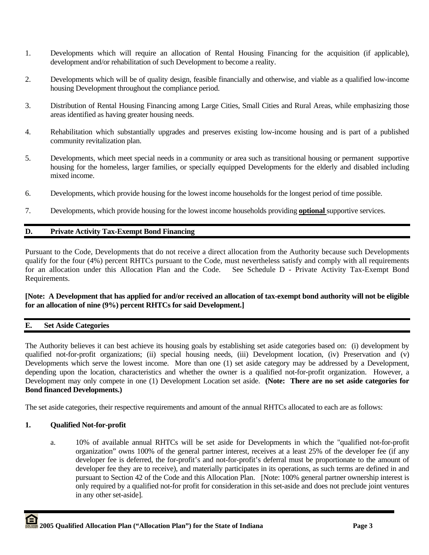- 1. Developments which will require an allocation of Rental Housing Financing for the acquisition (if applicable), development and/or rehabilitation of such Development to become a reality.
- 2. Developments which will be of quality design, feasible financially and otherwise, and viable as a qualified low-income housing Development throughout the compliance period.
- 3. Distribution of Rental Housing Financing among Large Cities, Small Cities and Rural Areas, while emphasizing those areas identified as having greater housing needs.
- 4. Rehabilitation which substantially upgrades and preserves existing low-income housing and is part of a published community revitalization plan.
- 5. Developments, which meet special needs in a community or area such as transitional housing or permanent supportive housing for the homeless, larger families, or specially equipped Developments for the elderly and disabled including mixed income.
- 6. Developments, which provide housing for the lowest income households for the longest period of time possible.
- 7. Developments, which provide housing for the lowest income households providing **optional** supportive services.

## **D. Private Activity Tax-Exempt Bond Financing**

Pursuant to the Code, Developments that do not receive a direct allocation from the Authority because such Developments qualify for the four (4%) percent RHTCs pursuant to the Code, must nevertheless satisfy and comply with all requirements for an allocation under this Allocation Plan and the Code. See Schedule D - Private Activity Tax-Exempt Bond Requirements.

## **[Note: A Development that has applied for and/or received an allocation of tax-exempt bond authority will not be eligible for an allocation of nine (9%) percent RHTCs for said Development.]**

## **E. Set Aside Categories**

The Authority believes it can best achieve its housing goals by establishing set aside categories based on: (i) development by qualified not-for-profit organizations; (ii) special housing needs, (iii) Development location, (iv) Preservation and (v) Developments which serve the lowest income. More than one (1) set aside category may be addressed by a Development, depending upon the location, characteristics and whether the owner is a qualified not-for-profit organization. However, a Development may only compete in one (1) Development Location set aside. **(Note: There are no set aside categories for Bond financed Developments.)**

The set aside categories, their respective requirements and amount of the annual RHTCs allocated to each are as follows:

## **1. Qualified Not-for-profit**

 a. 10% of available annual RHTCs will be set aside for Developments in which the "qualified not-for-profit organization" owns 100% of the general partner interest, receives at a least 25% of the developer fee (if any developer fee is deferred, the for-profit's and not-for-profit's deferral must be proportionate to the amount of developer fee they are to receive), and materially participates in its operations, as such terms are defined in and pursuant to Section 42 of the Code and this Allocation Plan. [Note: 100% general partner ownership interest is only required by a qualified not-for profit for consideration in this set-aside and does not preclude joint ventures in any other set-aside].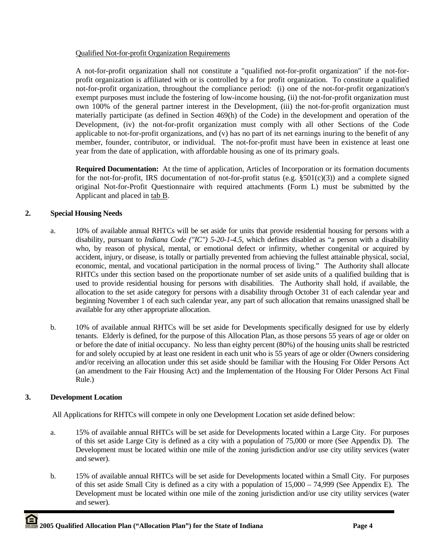## Qualified Not-for-profit Organization Requirements

A not-for-profit organization shall not constitute a "qualified not-for-profit organization" if the not-forprofit organization is affiliated with or is controlled by a for profit organization. To constitute a qualified not-for-profit organization, throughout the compliance period: (i) one of the not-for-profit organization's exempt purposes must include the fostering of low-income housing, (ii) the not-for-profit organization must own 100% of the general partner interest in the Development, (iii) the not-for-profit organization must materially participate (as defined in Section 469(h) of the Code) in the development and operation of the Development, (iv) the not-for-profit organization must comply with all other Sections of the Code applicable to not-for-profit organizations, and (v) has no part of its net earnings inuring to the benefit of any member, founder, contributor, or individual. The not-for-profit must have been in existence at least one year from the date of application, with affordable housing as one of its primary goals.

**Required Documentation:** At the time of application, Articles of Incorporation or its formation documents for the not-for-profit, IRS documentation of not-for-profit status (e.g.  $\S501(c)(3)$ ) and a complete signed original Not-for-Profit Questionnaire with required attachments (Form L) must be submitted by the Applicant and placed in tab B.

## **2. Special Housing Needs**

- a. 10% of available annual RHTCs will be set aside for units that provide residential housing for persons with a disability, pursuant to *Indiana Code ("IC") 5-20-1-4.5*, which defines disabled as "a person with a disability who, by reason of physical, mental, or emotional defect or infirmity, whether congenital or acquired by accident, injury, or disease, is totally or partially prevented from achieving the fullest attainable physical, social, economic, mental, and vocational participation in the normal process of living." The Authority shall allocate RHTCs under this section based on the proportionate number of set aside units of a qualified building that is used to provide residential housing for persons with disabilities. The Authority shall hold, if available, the allocation to the set aside category for persons with a disability through October 31 of each calendar year and beginning November 1 of each such calendar year, any part of such allocation that remains unassigned shall be available for any other appropriate allocation.
- b. 10% of available annual RHTCs will be set aside for Developments specifically designed for use by elderly tenants. Elderly is defined, for the purpose of this Allocation Plan, as those persons 55 years of age or older on or before the date of initial occupancy. No less than eighty percent (80%) of the housing units shall be restricted for and solely occupied by at least one resident in each unit who is 55 years of age or older (Owners considering and/or receiving an allocation under this set aside should be familiar with the Housing For Older Persons Act (an amendment to the Fair Housing Act) and the Implementation of the Housing For Older Persons Act Final Rule.)

# **3. Development Location**

All Applications for RHTCs will compete in only one Development Location set aside defined below:

- a. 15% of available annual RHTCs will be set aside for Developments located within a Large City. For purposes of this set aside Large City is defined as a city with a population of 75,000 or more (See Appendix D). The Development must be located within one mile of the zoning jurisdiction and/or use city utility services (water and sewer).
- b. 15% of available annual RHTCs will be set aside for Developments located within a Small City. For purposes of this set aside Small City is defined as a city with a population of 15,000 – 74,999 (See Appendix E). The Development must be located within one mile of the zoning jurisdiction and/or use city utility services (water and sewer).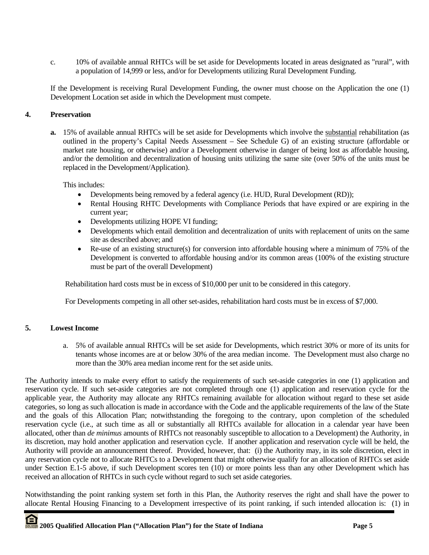c. 10% of available annual RHTCs will be set aside for Developments located in areas designated as "rural", with a population of 14,999 or less, and/or for Developments utilizing Rural Development Funding.

If the Development is receiving Rural Development Funding, the owner must choose on the Application the one (1) Development Location set aside in which the Development must compete.

## **4. Preservation**

**a.** 15% of available annual RHTCs will be set aside for Developments which involve the substantial rehabilitation (as outlined in the property's Capital Needs Assessment – See Schedule G) of an existing structure (affordable or market rate housing, or otherwise) and/or a Development otherwise in danger of being lost as affordable housing, and/or the demolition and decentralization of housing units utilizing the same site (over 50% of the units must be replaced in the Development/Application).

This includes:

- Developments being removed by a federal agency (i.e. HUD, Rural Development (RD));
- Rental Housing RHTC Developments with Compliance Periods that have expired or are expiring in the current year;
- Developments utilizing HOPE VI funding;
- Developments which entail demolition and decentralization of units with replacement of units on the same site as described above; and
- Re-use of an existing structure(s) for conversion into affordable housing where a minimum of 75% of the Development is converted to affordable housing and/or its common areas (100% of the existing structure must be part of the overall Development)

Rehabilitation hard costs must be in excess of \$10,000 per unit to be considered in this category.

For Developments competing in all other set-asides, rehabilitation hard costs must be in excess of \$7,000.

## **5. Lowest Income**

a. 5% of available annual RHTCs will be set aside for Developments, which restrict 30% or more of its units for tenants whose incomes are at or below 30% of the area median income. The Development must also charge no more than the 30% area median income rent for the set aside units.

The Authority intends to make every effort to satisfy the requirements of such set-aside categories in one (1) application and reservation cycle. If such set-aside categories are not completed through one (1) application and reservation cycle for the applicable year, the Authority may allocate any RHTCs remaining available for allocation without regard to these set aside categories, so long as such allocation is made in accordance with the Code and the applicable requirements of the law of the State and the goals of this Allocation Plan; notwithstanding the foregoing to the contrary, upon completion of the scheduled reservation cycle (i.e., at such time as all or substantially all RHTCs available for allocation in a calendar year have been allocated, other than *de minimus* amounts of RHTCs not reasonably susceptible to allocation to a Development) the Authority, in its discretion, may hold another application and reservation cycle. If another application and reservation cycle will be held, the Authority will provide an announcement thereof. Provided, however, that: (i) the Authority may, in its sole discretion, elect in any reservation cycle not to allocate RHTCs to a Development that might otherwise qualify for an allocation of RHTCs set aside under Section E.1-5 above, if such Development scores ten (10) or more points less than any other Development which has received an allocation of RHTCs in such cycle without regard to such set aside categories.

Notwithstanding the point ranking system set forth in this Plan, the Authority reserves the right and shall have the power to allocate Rental Housing Financing to a Development irrespective of its point ranking, if such intended allocation is: (1) in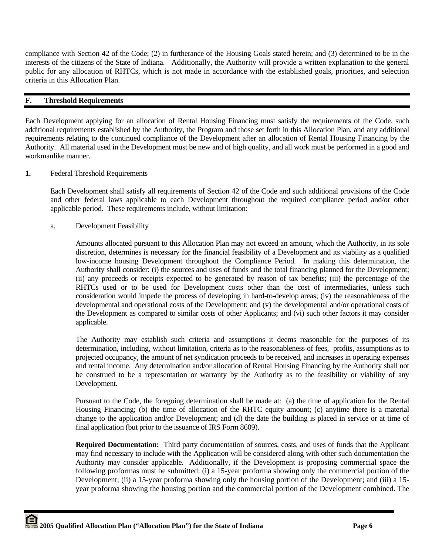compliance with Section 42 of the Code; (2) in furtherance of the Housing Goals stated herein; and (3) determined to be in the interests of the citizens of the State of Indiana. Additionally, the Authority will provide a written explanation to the general public for any allocation of RHTCs, which is not made in accordance with the established goals, priorities, and selection criteria in this Allocation Plan.

## **F. Threshold Requirements**

Each Development applying for an allocation of Rental Housing Financing must satisfy the requirements of the Code, such additional requirements established by the Authority, the Program and those set forth in this Allocation Plan, and any additional requirements relating to the continued compliance of the Development after an allocation of Rental Housing Financing by the Authority. All material used in the Development must be new and of high quality, and all work must be performed in a good and workmanlike manner.

**1.** Federal Threshold Requirements

 Each Development shall satisfy all requirements of Section 42 of the Code and such additional provisions of the Code and other federal laws applicable to each Development throughout the required compliance period and/or other applicable period. These requirements include, without limitation:

a. Development Feasibility

 Amounts allocated pursuant to this Allocation Plan may not exceed an amount, which the Authority, in its sole discretion, determines is necessary for the financial feasibility of a Development and its viability as a qualified low-income housing Development throughout the Compliance Period. In making this determination, the Authority shall consider: (i) the sources and uses of funds and the total financing planned for the Development; (ii) any proceeds or receipts expected to be generated by reason of tax benefits; (iii) the percentage of the RHTCs used or to be used for Development costs other than the cost of intermediaries, unless such consideration would impede the process of developing in hard-to-develop areas; (iv) the reasonableness of the developmental and operational costs of the Development; and (v) the developmental and/or operational costs of the Development as compared to similar costs of other Applicants; and (vi) such other factors it may consider applicable.

 The Authority may establish such criteria and assumptions it deems reasonable for the purposes of its determination, including, without limitation, criteria as to the reasonableness of fees, profits, assumptions as to projected occupancy, the amount of net syndication proceeds to be received, and increases in operating expenses and rental income. Any determination and/or allocation of Rental Housing Financing by the Authority shall not be construed to be a representation or warranty by the Authority as to the feasibility or viability of any Development.

 Pursuant to the Code, the foregoing determination shall be made at: (a) the time of application for the Rental Housing Financing; (b) the time of allocation of the RHTC equity amount; (c) anytime there is a material change to the application and/or Development; and (d) the date the building is placed in service or at time of final application (but prior to the issuance of IRS Form 8609).

**Required Documentation:** Third party documentation of sources, costs, and uses of funds that the Applicant may find necessary to include with the Application will be considered along with other such documentation the Authority may consider applicable. Additionally, if the Development is proposing commercial space the following proformas must be submitted: (i) a 15-year proforma showing only the commercial portion of the Development; (ii) a 15-year proforma showing only the housing portion of the Development; and (iii) a 15 year proforma showing the housing portion and the commercial portion of the Development combined. The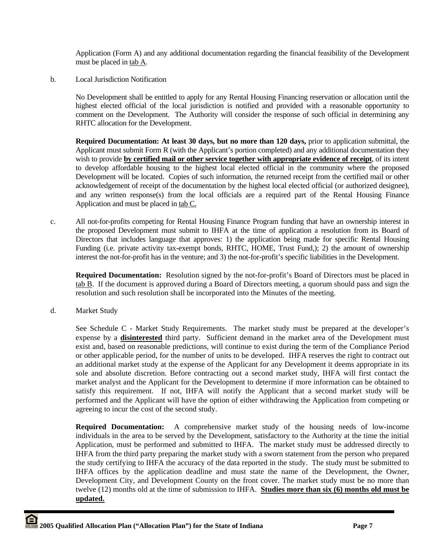Application (Form A) and any additional documentation regarding the financial feasibility of the Development must be placed in tab A.

b. Local Jurisdiction Notification

 No Development shall be entitled to apply for any Rental Housing Financing reservation or allocation until the highest elected official of the local jurisdiction is notified and provided with a reasonable opportunity to comment on the Development. The Authority will consider the response of such official in determining any RHTC allocation for the Development.

**Required Documentation: At least 30 days, but no more than 120 days,** prior to application submittal, the Applicant must submit Form R (with the Applicant's portion completed) and any additional documentation they wish to provide **by certified mail or other service together with appropriate evidence of receipt**, of its intent to develop affordable housing to the highest local elected official in the community where the proposed Development will be located. Copies of such information, the returned receipt from the certified mail or other acknowledgement of receipt of the documentation by the highest local elected official (or authorized designee), and any written response(s) from the local officials are a required part of the Rental Housing Finance Application and must be placed in tab C.

c. All not-for-profits competing for Rental Housing Finance Program funding that have an ownership interest in the proposed Development must submit to IHFA at the time of application a resolution from its Board of Directors that includes language that approves: 1) the application being made for specific Rental Housing Funding (i.e. private activity tax-exempt bonds, RHTC, HOME, Trust Fund,); 2) the amount of ownership interest the not-for-profit has in the venture; and 3) the not-for-profit's specific liabilities in the Development.

**Required Documentation:** Resolution signed by the not-for-profit's Board of Directors must be placed in tab B. If the document is approved during a Board of Directors meeting, a quorum should pass and sign the resolution and such resolution shall be incorporated into the Minutes of the meeting.

d. Market Study

See Schedule C - Market Study Requirements. The market study must be prepared at the developer's expense by a **disinterested** third party. Sufficient demand in the market area of the Development must exist and, based on reasonable predictions, will continue to exist during the term of the Compliance Period or other applicable period, for the number of units to be developed. IHFA reserves the right to contract out an additional market study at the expense of the Applicant for any Development it deems appropriate in its sole and absolute discretion. Before contracting out a second market study, IHFA will first contact the market analyst and the Applicant for the Development to determine if more information can be obtained to satisfy this requirement. If not, IHFA will notify the Applicant that a second market study will be performed and the Applicant will have the option of either withdrawing the Application from competing or agreeing to incur the cost of the second study.

**Required Documentation:** A comprehensive market study of the housing needs of low-income individuals in the area to be served by the Development, satisfactory to the Authority at the time the initial Application, must be performed and submitted to IHFA. The market study must be addressed directly to IHFA from the third party preparing the market study with a sworn statement from the person who prepared the study certifying to IHFA the accuracy of the data reported in the study. The study must be submitted to IHFA offices by the application deadline and must state the name of the Development, the Owner, Development City, and Development County on the front cover. The market study must be no more than twelve (12) months old at the time of submission to IHFA. **Studies more than six (6) months old must be updated.**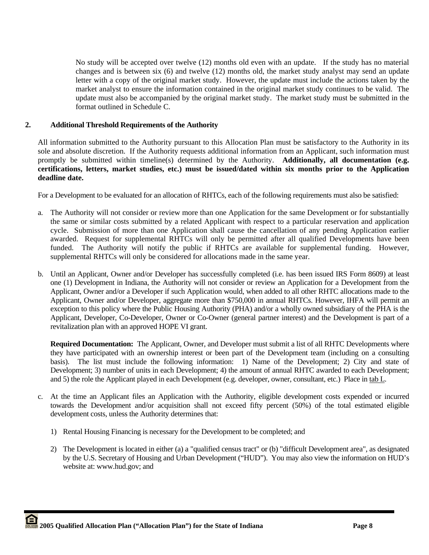No study will be accepted over twelve (12) months old even with an update. If the study has no material changes and is between six (6) and twelve (12) months old, the market study analyst may send an update letter with a copy of the original market study. However, the update must include the actions taken by the market analyst to ensure the information contained in the original market study continues to be valid. The update must also be accompanied by the original market study. The market study must be submitted in the format outlined in Schedule C.

## **2. Additional Threshold Requirements of the Authority**

All information submitted to the Authority pursuant to this Allocation Plan must be satisfactory to the Authority in its sole and absolute discretion. If the Authority requests additional information from an Applicant, such information must promptly be submitted within timeline(s) determined by the Authority. **Additionally, all documentation (e.g. certifications, letters, market studies, etc.) must be issued/dated within six months prior to the Application deadline date.**

For a Development to be evaluated for an allocation of RHTCs, each of the following requirements must also be satisfied:

- a. The Authority will not consider or review more than one Application for the same Development or for substantially the same or similar costs submitted by a related Applicant with respect to a particular reservation and application cycle. Submission of more than one Application shall cause the cancellation of any pending Application earlier awarded. Request for supplemental RHTCs will only be permitted after all qualified Developments have been funded. The Authority will notify the public if RHTCs are available for supplemental funding. However, supplemental RHTCs will only be considered for allocations made in the same year.
- b. Until an Applicant, Owner and/or Developer has successfully completed (i.e. has been issued IRS Form 8609) at least one (1) Development in Indiana, the Authority will not consider or review an Application for a Development from the Applicant, Owner and/or a Developer if such Application would, when added to all other RHTC allocations made to the Applicant, Owner and/or Developer, aggregate more than \$750,000 in annual RHTCs. However, IHFA will permit an exception to this policy where the Public Housing Authority (PHA) and/or a wholly owned subsidiary of the PHA is the Applicant, Developer, Co-Developer, Owner or Co-Owner (general partner interest) and the Development is part of a revitalization plan with an approved HOPE VI grant.

**Required Documentation:** The Applicant, Owner, and Developer must submit a list of all RHTC Developments where they have participated with an ownership interest or been part of the Development team (including on a consulting basis). The list must include the following information: 1) Name of the Development; 2) City and state of Development; 3) number of units in each Development; 4) the amount of annual RHTC awarded to each Development; and 5) the role the Applicant played in each Development (e.g. developer, owner, consultant, etc.) Place in tab L.

- c. At the time an Applicant files an Application with the Authority, eligible development costs expended or incurred towards the Development and/or acquisition shall not exceed fifty percent (50%) of the total estimated eligible development costs, unless the Authority determines that:
	- 1) Rental Housing Financing is necessary for the Development to be completed; and
	- 2) The Development is located in either (a) a "qualified census tract" or (b) "difficult Development area", as designated by the U.S. Secretary of Housing and Urban Development ("HUD"). You may also view the information on HUD's website at: www.hud.gov; and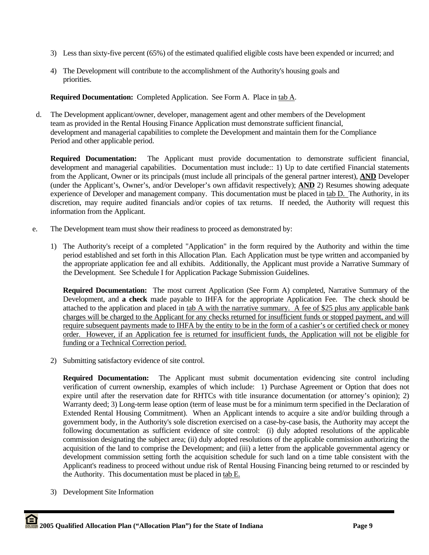- 3) Less than sixty-five percent (65%) of the estimated qualified eligible costs have been expended or incurred; and
- 4) The Development will contribute to the accomplishment of the Authority's housing goals and priorities.

**Required Documentation:** Completed Application. See Form A. Place in tab A.

 d. The Development applicant/owner, developer, management agent and other members of the Development team as provided in the Rental Housing Finance Application must demonstrate sufficient financial, development and managerial capabilities to complete the Development and maintain them for the Compliance Period and other applicable period.

**Required Documentation:** The Applicant must provide documentation to demonstrate sufficient financial, development and managerial capabilities. Documentation must include:: 1) Up to date certified Financial statements from the Applicant, Owner or its principals (must include all principals of the general partner interest), **AND** Developer (under the Applicant's, Owner's, and/or Developer's own affidavit respectively); **AND** 2) Resumes showing adequate experience of Developer and management company. This documentation must be placed in tab D. The Authority, in its discretion, may require audited financials and/or copies of tax returns. If needed, the Authority will request this information from the Applicant.

- e. The Development team must show their readiness to proceed as demonstrated by:
	- 1) The Authority's receipt of a completed "Application" in the form required by the Authority and within the time period established and set forth in this Allocation Plan. Each Application must be type written and accompanied by the appropriate application fee and all exhibits. Additionally, the Applicant must provide a Narrative Summary of the Development. See Schedule I for Application Package Submission Guidelines.

**Required Documentation:** The most current Application (See Form A) completed, Narrative Summary of the Development, and **a check** made payable to IHFA for the appropriate Application Fee. The check should be attached to the application and placed in tab A with the narrative summary. A fee of \$25 plus any applicable bank charges will be charged to the Applicant for any checks returned for insufficient funds or stopped payment, and will require subsequent payments made to IHFA by the entity to be in the form of a cashier's or certified check or money order. However, if an Application fee is returned for insufficient funds, the Application will not be eligible for funding or a Technical Correction period.

2) Submitting satisfactory evidence of site control.

**Required Documentation:** The Applicant must submit documentation evidencing site control including verification of current ownership, examples of which include: 1) Purchase Agreement or Option that does not expire until after the reservation date for RHTCs with title insurance documentation (or attorney's opinion); 2) Warranty deed; 3) Long-term lease option (term of lease must be for a minimum term specified in the Declaration of Extended Rental Housing Commitment). When an Applicant intends to acquire a site and/or building through a government body, in the Authority's sole discretion exercised on a case-by-case basis, the Authority may accept the following documentation as sufficient evidence of site control: (i) duly adopted resolutions of the applicable commission designating the subject area; (ii) duly adopted resolutions of the applicable commission authorizing the acquisition of the land to comprise the Development; and (iii) a letter from the applicable governmental agency or development commission setting forth the acquisition schedule for such land on a time table consistent with the Applicant's readiness to proceed without undue risk of Rental Housing Financing being returned to or rescinded by the Authority. This documentation must be placed in tab E.

3) Development Site Information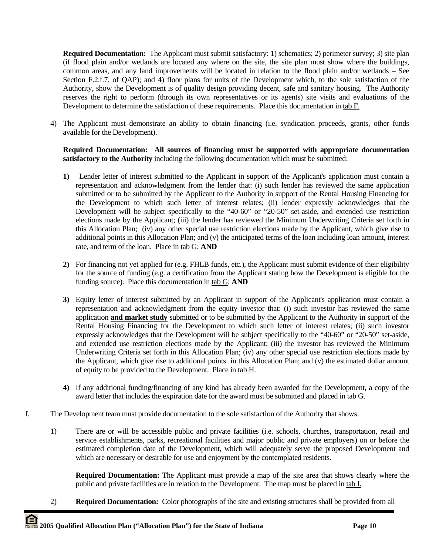**Required Documentation:** The Applicant must submit satisfactory: 1) schematics; 2) perimeter survey; 3) site plan (if flood plain and/or wetlands are located any where on the site, the site plan must show where the buildings, common areas, and any land improvements will be located in relation to the flood plain and/or wetlands – See Section F.2.f.7. of QAP); and 4) floor plans for units of the Development which, to the sole satisfaction of the Authority, show the Development is of quality design providing decent, safe and sanitary housing. The Authority reserves the right to perform (through its own representatives or its agents) site visits and evaluations of the Development to determine the satisfaction of these requirements. Place this documentation in tab F.

4) The Applicant must demonstrate an ability to obtain financing (i.e. syndication proceeds, grants, other funds available for the Development).

## **Required Documentation: All sources of financing must be supported with appropriate documentation satisfactory to the Authority** including the following documentation which must be submitted:

- **1)** Lender letter of interest submitted to the Applicant in support of the Applicant's application must contain a representation and acknowledgment from the lender that: (i) such lender has reviewed the same application submitted or to be submitted by the Applicant to the Authority in support of the Rental Housing Financing for the Development to which such letter of interest relates; (ii) lender expressly acknowledges that the Development will be subject specifically to the "40-60" or "20-50" set-aside, and extended use restriction elections made by the Applicant; (iii) the lender has reviewed the Minimum Underwriting Criteria set forth in this Allocation Plan; (iv) any other special use restriction elections made by the Applicant, which give rise to additional points in this Allocation Plan; and (v) the anticipated terms of the loan including loan amount, interest rate, and term of the loan. Place in tab G; **AND**
- **2)** For financing not yet applied for (e.g. FHLB funds, etc.), the Applicant must submit evidence of their eligibility for the source of funding (e.g. a certification from the Applicant stating how the Development is eligible for the funding source). Place this documentation in tab G; **AND**
- **3)** Equity letter of interest submitted by an Applicant in support of the Applicant's application must contain a representation and acknowledgment from the equity investor that: (i) such investor has reviewed the same application **and market study** submitted or to be submitted by the Applicant to the Authority in support of the Rental Housing Financing for the Development to which such letter of interest relates; (ii) such investor expressly acknowledges that the Development will be subject specifically to the "40-60" or "20-50" set-aside, and extended use restriction elections made by the Applicant; (iii) the investor has reviewed the Minimum Underwriting Criteria set forth in this Allocation Plan; (iv) any other special use restriction elections made by the Applicant, which give rise to additional points in this Allocation Plan; and (v) the estimated dollar amount of equity to be provided to the Development. Place in tab H.
- **4)** If any additional funding/financing of any kind has already been awarded for the Development, a copy of the award letter that includes the expiration date for the award must be submitted and placed in tab G.
- f. The Development team must provide documentation to the sole satisfaction of the Authority that shows:
	- 1) There are or will be accessible public and private facilities (i.e. schools, churches, transportation, retail and service establishments, parks, recreational facilities and major public and private employers) on or before the estimated completion date of the Development, which will adequately serve the proposed Development and which are necessary or desirable for use and enjoyment by the contemplated residents.

**Required Documentation:** The Applicant must provide a map of the site area that shows clearly where the public and private facilities are in relation to the Development. The map must be placed in tab I.

2) **Required Documentation:** Color photographs of the site and existing structures shall be provided from all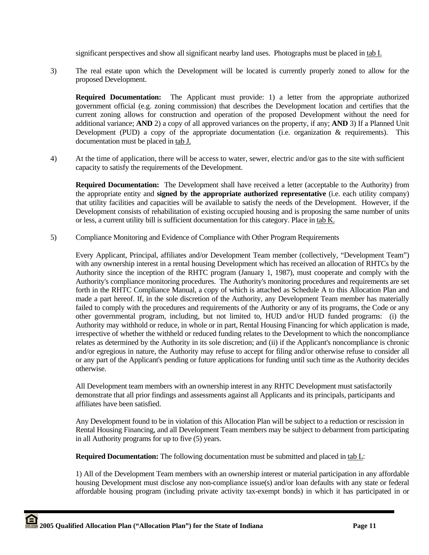significant perspectives and show all significant nearby land uses. Photographs must be placed in tab I.

3) The real estate upon which the Development will be located is currently properly zoned to allow for the proposed Development.

**Required Documentation:** The Applicant must provide: 1) a letter from the appropriate authorized government official (e.g. zoning commission) that describes the Development location and certifies that the current zoning allows for construction and operation of the proposed Development without the need for additional variance; **AND** 2) a copy of all approved variances on the property, if any; **AND** 3) If a Planned Unit Development (PUD) a copy of the appropriate documentation (i.e. organization  $\&$  requirements). This documentation must be placed in tab J.

4) At the time of application, there will be access to water, sewer, electric and/or gas to the site with sufficient capacity to satisfy the requirements of the Development.

**Required Documentation:** The Development shall have received a letter (acceptable to the Authority) from the appropriate entity and **signed by the appropriate authorized representative** (i.e. each utility company) that utility facilities and capacities will be available to satisfy the needs of the Development. However, if the Development consists of rehabilitation of existing occupied housing and is proposing the same number of units or less, a current utility bill is sufficient documentation for this category. Place in tab K.

5) Compliance Monitoring and Evidence of Compliance with Other Program Requirements

 Every Applicant, Principal, affiliates and/or Development Team member (collectively, "Development Team") with any ownership interest in a rental housing Development which has received an allocation of RHTCs by the Authority since the inception of the RHTC program (January 1, 1987), must cooperate and comply with the Authority's compliance monitoring procedures. The Authority's monitoring procedures and requirements are set forth in the RHTC Compliance Manual, a copy of which is attached as Schedule A to this Allocation Plan and made a part hereof. If, in the sole discretion of the Authority, any Development Team member has materially failed to comply with the procedures and requirements of the Authority or any of its programs, the Code or any other governmental program, including, but not limited to, HUD and/or HUD funded programs: (i) the Authority may withhold or reduce, in whole or in part, Rental Housing Financing for which application is made, irrespective of whether the withheld or reduced funding relates to the Development to which the noncompliance relates as determined by the Authority in its sole discretion; and (ii) if the Applicant's noncompliance is chronic and/or egregious in nature, the Authority may refuse to accept for filing and/or otherwise refuse to consider all or any part of the Applicant's pending or future applications for funding until such time as the Authority decides otherwise.

 All Development team members with an ownership interest in any RHTC Development must satisfactorily demonstrate that all prior findings and assessments against all Applicants and its principals, participants and affiliates have been satisfied.

 Any Development found to be in violation of this Allocation Plan will be subject to a reduction or rescission in Rental Housing Financing, and all Development Team members may be subject to debarment from participating in all Authority programs for up to five (5) years.

 **Required Documentation:** The following documentation must be submitted and placed in tab L:

 1) All of the Development Team members with an ownership interest or material participation in any affordable housing Development must disclose any non-compliance issue(s) and/or loan defaults with any state or federal affordable housing program (including private activity tax-exempt bonds) in which it has participated in or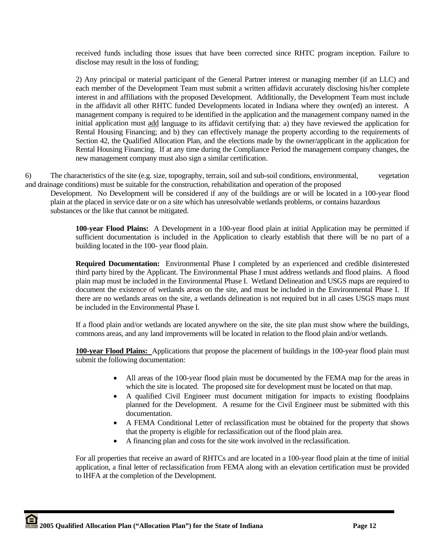received funds including those issues that have been corrected since RHTC program inception. Failure to disclose may result in the loss of funding;

 2) Any principal or material participant of the General Partner interest or managing member (if an LLC) and each member of the Development Team must submit a written affidavit accurately disclosing his/her complete interest in and affiliations with the proposed Development. Additionally, the Development Team must include in the affidavit all other RHTC funded Developments located in Indiana where they own(ed) an interest. A management company is required to be identified in the application and the management company named in the initial application must add language to its affidavit certifying that: a) they have reviewed the application for Rental Housing Financing; and b) they can effectively manage the property according to the requirements of Section 42, the Qualified Allocation Plan, and the elections made by the owner/applicant in the application for Rental Housing Financing. If at any time during the Compliance Period the management company changes, the new management company must also sign a similar certification.

6) The characteristics of the site (e.g. size, topography, terrain, soil and sub-soil conditions, environmental, vegetation and drainage conditions) must be suitable for the construction, rehabilitation and operation of the proposed

 Development. No Development will be considered if any of the buildings are or will be located in a 100-year flood plain at the placed in service date or on a site which has unresolvable wetlands problems, or contains hazardous substances or the like that cannot be mitigated.

**100-year Flood Plains:** A Development in a 100-year flood plain at initial Application may be permitted if sufficient documentation is included in the Application to clearly establish that there will be no part of a building located in the 100- year flood plain.

**Required Documentation:** Environmental Phase I completed by an experienced and credible disinterested third party hired by the Applicant. The Environmental Phase I must address wetlands and flood plains. A flood plain map must be included in the Environmental Phase I. Wetland Delineation and USGS maps are required to document the existence of wetlands areas on the site, and must be included in the Environmental Phase I. If there are no wetlands areas on the site, a wetlands delineation is not required but in all cases USGS maps must be included in the Environmental Phase I.

If a flood plain and/or wetlands are located anywhere on the site, the site plan must show where the buildings, commons areas, and any land improvements will be located in relation to the flood plain and/or wetlands.

**100-year Flood Plains:** Applications that propose the placement of buildings in the 100-year flood plain must submit the following documentation:

- All areas of the 100-year flood plain must be documented by the FEMA map for the areas in which the site is located. The proposed site for development must be located on that map.
- A qualified Civil Engineer must document mitigation for impacts to existing floodplains planned for the Development. A resume for the Civil Engineer must be submitted with this documentation.
- A FEMA Conditional Letter of reclassification must be obtained for the property that shows that the property is eligible for reclassification out of the flood plain area.
- A financing plan and costs for the site work involved in the reclassification.

For all properties that receive an award of RHTCs and are located in a 100-year flood plain at the time of initial application, a final letter of reclassification from FEMA along with an elevation certification must be provided to IHFA at the completion of the Development.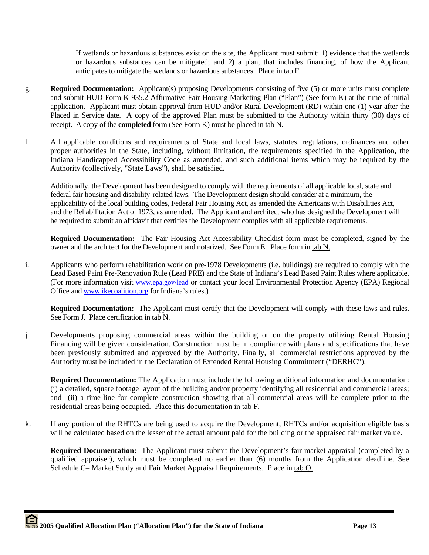If wetlands or hazardous substances exist on the site, the Applicant must submit: 1) evidence that the wetlands or hazardous substances can be mitigated; and 2) a plan, that includes financing, of how the Applicant anticipates to mitigate the wetlands or hazardous substances. Place in tab F.

- g. **Required Documentation:** Applicant(s) proposing Developments consisting of five (5) or more units must complete and submit HUD Form K 935.2 Affirmative Fair Housing Marketing Plan ("Plan") (See form K) at the time of initial application. Applicant must obtain approval from HUD and/or Rural Development (RD) within one (1) year after the Placed in Service date. A copy of the approved Plan must be submitted to the Authority within thirty (30) days of receipt. A copy of the **completed** form (See Form K) must be placed in tab N.
- h. All applicable conditions and requirements of State and local laws, statutes, regulations, ordinances and other proper authorities in the State, including, without limitation, the requirements specified in the Application, the Indiana Handicapped Accessibility Code as amended, and such additional items which may be required by the Authority (collectively, "State Laws"), shall be satisfied.

Additionally, the Development has been designed to comply with the requirements of all applicable local, state and federal fair housing and disability-related laws. The Development design should consider at a minimum, the applicability of the local building codes, Federal Fair Housing Act, as amended the Americans with Disabilities Act, and the Rehabilitation Act of 1973, as amended. The Applicant and architect who has designed the Development will be required to submit an affidavit that certifies the Development complies with all applicable requirements.

**Required Documentation:** The Fair Housing Act Accessibility Checklist form must be completed, signed by the owner and the architect for the Development and notarized. See Form E. Place form in tab N.

i. Applicants who perform rehabilitation work on pre-1978 Developments (i.e. buildings) are required to comply with the Lead Based Paint Pre-Renovation Rule (Lead PRE) and the State of Indiana's Lead Based Paint Rules where applicable. (For more information visit www.epa.gov/lead or contact your local Environmental Protection Agency (EPA) Regional Office and www.ikecoalition.org for Indiana's rules.)

**Required Documentation:** The Applicant must certify that the Development will comply with these laws and rules. See Form J. Place certification in tab N.

j. Developments proposing commercial areas within the building or on the property utilizing Rental Housing Financing will be given consideration. Construction must be in compliance with plans and specifications that have been previously submitted and approved by the Authority. Finally, all commercial restrictions approved by the Authority must be included in the Declaration of Extended Rental Housing Commitment ("DERHC").

**Required Documentation:** The Application must include the following additional information and documentation: (i) a detailed, square footage layout of the building and/or property identifying all residential and commercial areas; and (ii) a time-line for complete construction showing that all commercial areas will be complete prior to the residential areas being occupied. Place this documentation in tab F.

k. If any portion of the RHTCs are being used to acquire the Development, RHTCs and/or acquisition eligible basis will be calculated based on the lesser of the actual amount paid for the building or the appraised fair market value.

**Required Documentation:** The Applicant must submit the Development's fair market appraisal (completed by a qualified appraiser), which must be completed no earlier than (6) months from the Application deadline. See Schedule C– Market Study and Fair Market Appraisal Requirements. Place in tab O.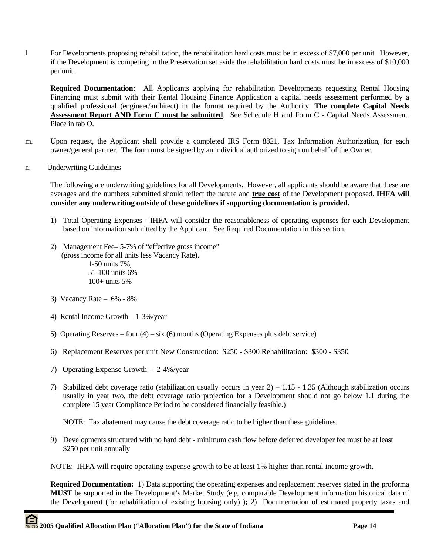l. For Developments proposing rehabilitation, the rehabilitation hard costs must be in excess of \$7,000 per unit. However, if the Development is competing in the Preservation set aside the rehabilitation hard costs must be in excess of \$10,000 per unit.

**Required Documentation:** All Applicants applying for rehabilitation Developments requesting Rental Housing Financing must submit with their Rental Housing Finance Application a capital needs assessment performed by a qualified professional (engineer/architect) in the format required by the Authority. **The complete Capital Needs Assessment Report AND Form C must be submitted**. See Schedule H and Form C - Capital Needs Assessment. Place in tab O.

- m. Upon request, the Applicant shall provide a completed IRS Form 8821, Tax Information Authorization, for each owner/general partner. The form must be signed by an individual authorized to sign on behalf of the Owner.
- n. Underwriting Guidelines

The following are underwriting guidelines for all Developments. However, all applicants should be aware that these are averages and the numbers submitted should reflect the nature and **true cost** of the Development proposed. **IHFA will consider any underwriting outside of these guidelines if supporting documentation is provided.** 

- 1) Total Operating Expenses IHFA will consider the reasonableness of operating expenses for each Development based on information submitted by the Applicant. See Required Documentation in this section.
- 2) Management Fee– 5-7% of "effective gross income" (gross income for all units less Vacancy Rate). 1-50 units 7%,

 51-100 units 6% 100+ units 5%

- 3) Vacancy Rate 6% 8%
- 4) Rental Income Growth 1-3%/year
- 5) Operating Reserves four  $(4)$  six  $(6)$  months (Operating Expenses plus debt service)
- 6) Replacement Reserves per unit New Construction: \$250 \$300 Rehabilitation: \$300 \$350
- 7) Operating Expense Growth 2-4%/year
- 7) Stabilized debt coverage ratio (stabilization usually occurs in year 2) 1.15 1.35 (Although stabilization occurs usually in year two, the debt coverage ratio projection for a Development should not go below 1.1 during the complete 15 year Compliance Period to be considered financially feasible.)

NOTE: Tax abatement may cause the debt coverage ratio to be higher than these guidelines.

9) Developments structured with no hard debt - minimum cash flow before deferred developer fee must be at least \$250 per unit annually

NOTE: IHFA will require operating expense growth to be at least 1% higher than rental income growth.

**Required Documentation:** 1) Data supporting the operating expenses and replacement reserves stated in the proforma **MUST** be supported in the Development's Market Study (e.g. comparable Development information historical data of the Development (for rehabilitation of existing housing only) )**;** 2) Documentation of estimated property taxes and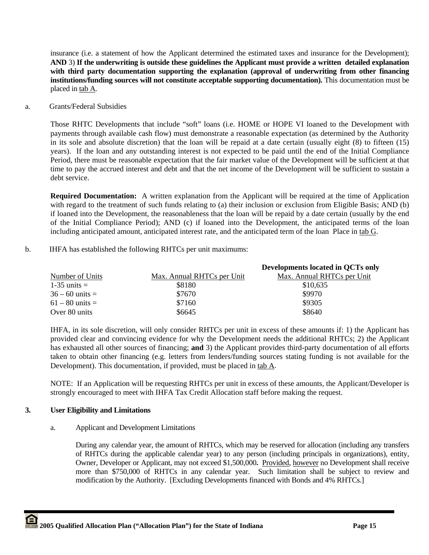insurance (i.e. a statement of how the Applicant determined the estimated taxes and insurance for the Development); **AND** 3) **If the underwriting is outside these guidelines the Applicant must provide a written detailed explanation with third party documentation supporting the explanation (approval of underwriting from other financing institutions/funding sources will not constitute acceptable supporting documentation).** This documentation must be placed in tab A.

a. Grants/Federal Subsidies

Those RHTC Developments that include "soft" loans (i.e. HOME or HOPE VI loaned to the Development with payments through available cash flow) must demonstrate a reasonable expectation (as determined by the Authority in its sole and absolute discretion) that the loan will be repaid at a date certain (usually eight (8) to fifteen (15) years). If the loan and any outstanding interest is not expected to be paid until the end of the Initial Compliance Period, there must be reasonable expectation that the fair market value of the Development will be sufficient at that time to pay the accrued interest and debt and that the net income of the Development will be sufficient to sustain a debt service.

**Required Documentation:** A written explanation from the Applicant will be required at the time of Application with regard to the treatment of such funds relating to (a) their inclusion or exclusion from Eligible Basis; AND (b) if loaned into the Development, the reasonableness that the loan will be repaid by a date certain (usually by the end of the Initial Compliance Period); AND (c) if loaned into the Development, the anticipated terms of the loan including anticipated amount, anticipated interest rate, and the anticipated term of the loan Place in tab G.

## b. IHFA has established the following RHTCs per unit maximums:

|                     |                            | Developments located in QCTs only |
|---------------------|----------------------------|-----------------------------------|
| Number of Units     | Max. Annual RHTCs per Unit | Max. Annual RHTCs per Unit        |
| $1-35$ units $=$    | \$8180                     | \$10,635                          |
| $36 - 60$ units =   | \$7670                     | \$9970                            |
| $61 - 80$ units $=$ | \$7160                     | \$9305                            |
| Over 80 units       | \$6645                     | \$8640                            |

IHFA, in its sole discretion, will only consider RHTCs per unit in excess of these amounts if: 1) the Applicant has provided clear and convincing evidence for why the Development needs the additional RHTCs; 2) the Applicant has exhausted all other sources of financing; **and** 3) the Applicant provides third-party documentation of all efforts taken to obtain other financing (e.g. letters from lenders/funding sources stating funding is not available for the Development). This documentation, if provided, must be placed in tab A.

NOTE: If an Application will be requesting RHTCs per unit in excess of these amounts, the Applicant/Developer is strongly encouraged to meet with IHFA Tax Credit Allocation staff before making the request.

## **3. User Eligibility and Limitations**

## a. Applicant and Development Limitations

 During any calendar year, the amount of RHTCs, which may be reserved for allocation (including any transfers of RHTCs during the applicable calendar year) to any person (including principals in organizations), entity, Owner, Developer or Applicant, may not exceed \$1,500,000**.** Provided, however no Development shall receive more than \$750,000 of RHTCs in any calendar year. Such limitation shall be subject to review and modification by the Authority. [Excluding Developments financed with Bonds and 4% RHTCs.]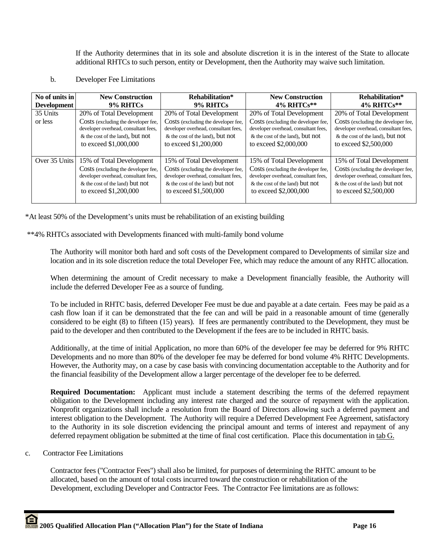If the Authority determines that in its sole and absolute discretion it is in the interest of the State to allocate additional RHTCs to such person, entity or Development, then the Authority may waive such limitation.

b. Developer Fee Limitations

| No of units in | <b>New Construction</b>                                                                                                                                             | Rehabilitation*                                                                                                                                                     | <b>New Construction</b>                                                                                                                                             | Rehabilitation*                                                                                                                                                     |
|----------------|---------------------------------------------------------------------------------------------------------------------------------------------------------------------|---------------------------------------------------------------------------------------------------------------------------------------------------------------------|---------------------------------------------------------------------------------------------------------------------------------------------------------------------|---------------------------------------------------------------------------------------------------------------------------------------------------------------------|
| Development    | 9% RHTCs                                                                                                                                                            | 9% RHTCs                                                                                                                                                            | $4\%$ RHTCs**                                                                                                                                                       | $4\%$ RHTCs**                                                                                                                                                       |
| 35 Units       | 20% of Total Development                                                                                                                                            | 20% of Total Development                                                                                                                                            | 20% of Total Development                                                                                                                                            | 20% of Total Development                                                                                                                                            |
| or less        | Costs (excluding the developer fee,<br>developer overhead, consultant fees,<br>& the cost of the land), but not<br>to exceed \$1,000,000                            | Costs (excluding the developer fee,<br>developer overhead, consultant fees,<br>& the cost of the land), but not<br>to exceed \$1,200,000                            | Costs (excluding the developer fee,<br>developer overhead, consultant fees,<br>& the cost of the land), but not<br>to exceed \$2,000,000                            | Costs (excluding the developer fee,<br>developer overhead, consultant fees,<br>$&$ the cost of the land), but not<br>to exceed \$2,500,000                          |
| Over 35 Units  | 15% of Total Development<br>Costs (excluding the developer fee,<br>developer overhead, consultant fees,<br>& the cost of the land) but not<br>to exceed \$1,200,000 | 15% of Total Development<br>Costs (excluding the developer fee,<br>developer overhead, consultant fees,<br>& the cost of the land) but not<br>to exceed \$1,500,000 | 15% of Total Development<br>Costs (excluding the developer fee,<br>developer overhead, consultant fees,<br>& the cost of the land) but not<br>to exceed \$2,000,000 | 15% of Total Development<br>Costs (excluding the developer fee,<br>developer overhead, consultant fees,<br>& the cost of the land) but not<br>to exceed \$2,500,000 |

\*At least 50% of the Development's units must be rehabilitation of an existing building

\*\*4% RHTCs associated with Developments financed with multi-family bond volume

The Authority will monitor both hard and soft costs of the Development compared to Developments of similar size and location and in its sole discretion reduce the total Developer Fee, which may reduce the amount of any RHTC allocation.

When determining the amount of Credit necessary to make a Development financially feasible, the Authority will include the deferred Developer Fee as a source of funding.

To be included in RHTC basis, deferred Developer Fee must be due and payable at a date certain. Fees may be paid as a cash flow loan if it can be demonstrated that the fee can and will be paid in a reasonable amount of time (generally considered to be eight (8) to fifteen (15) years). If fees are permanently contributed to the Development, they must be paid to the developer and then contributed to the Development if the fees are to be included in RHTC basis.

Additionally, at the time of initial Application, no more than 60% of the developer fee may be deferred for 9% RHTC Developments and no more than 80% of the developer fee may be deferred for bond volume 4% RHTC Developments. However, the Authority may, on a case by case basis with convincing documentation acceptable to the Authority and for the financial feasibility of the Development allow a larger percentage of the developer fee to be deferred.

**Required Documentation:** Applicant must include a statement describing the terms of the deferred repayment obligation to the Development including any interest rate charged and the source of repayment with the application. Nonprofit organizations shall include a resolution from the Board of Directors allowing such a deferred payment and interest obligation to the Development. The Authority will require a Deferred Development Fee Agreement, satisfactory to the Authority in its sole discretion evidencing the principal amount and terms of interest and repayment of any deferred repayment obligation be submitted at the time of final cost certification. Place this documentation in tab G.

c. Contractor Fee Limitations

Contractor fees ("Contractor Fees") shall also be limited, for purposes of determining the RHTC amount to be allocated, based on the amount of total costs incurred toward the construction or rehabilitation of the Development, excluding Developer and Contractor Fees. The Contractor Fee limitations are as follows: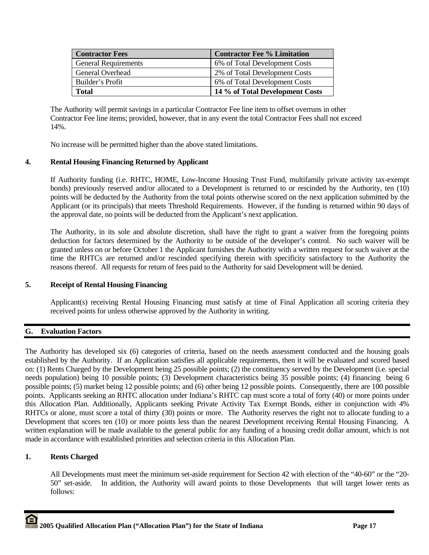| <b>Contractor Fees</b>      | <b>Contractor Fee % Limitation</b> |
|-----------------------------|------------------------------------|
| <b>General Requirements</b> | 6% of Total Development Costs      |
| General Overhead            | 2% of Total Development Costs      |
| Builder's Profit            | 6% of Total Development Costs      |
| <b>Total</b>                | 14 % of Total Development Costs    |

The Authority will permit savings in a particular Contractor Fee line item to offset overruns in other Contractor Fee line items; provided, however, that in any event the total Contractor Fees shall not exceed 14%.

No increase will be permitted higher than the above stated limitations.

## **4. Rental Housing Financing Returned by Applicant**

If Authority funding (i.e. RHTC, HOME, Low-Income Housing Trust Fund, multifamily private activity tax-exempt bonds) previously reserved and/or allocated to a Development is returned to or rescinded by the Authority, ten (10) points will be deducted by the Authority from the total points otherwise scored on the next application submitted by the Applicant (or its principals) that meets Threshold Requirements. However, if the funding is returned within 90 days of the approval date, no points will be deducted from the Applicant's next application.

The Authority, in its sole and absolute discretion, shall have the right to grant a waiver from the foregoing points deduction for factors determined by the Authority to be outside of the developer's control. No such waiver will be granted unless on or before October 1 the Applicant furnishes the Authority with a written request for such waiver at the time the RHTCs are returned and/or rescinded specifying therein with specificity satisfactory to the Authority the reasons thereof. All requests for return of fees paid to the Authority for said Development will be denied.

## **5. Receipt of Rental Housing Financing**

Applicant(s) receiving Rental Housing Financing must satisfy at time of Final Application all scoring criteria they received points for unless otherwise approved by the Authority in writing.

## **G. Evaluation Factors**

The Authority has developed six (6) categories of criteria, based on the needs assessment conducted and the housing goals established by the Authority. If an Application satisfies all applicable requirements, then it will be evaluated and scored based on: (1) Rents Charged by the Development being 25 possible points; (2) the constituency served by the Development (i.e. special needs population) being 10 possible points; (3) Development characteristics being 35 possible points; (4) financing being 6 possible points; (5) market being 12 possible points; and (6) other being 12 possible points. Consequently, there are 100 possible points. Applicants seeking an RHTC allocation under Indiana's RHTC cap must score a total of forty (40) or more points under this Allocation Plan. Additionally, Applicants seeking Private Activity Tax Exempt Bonds, either in conjunction with 4% RHTCs or alone, must score a total of thirty (30) points or more. The Authority reserves the right not to allocate funding to a Development that scores ten (10) or more points less than the nearest Development receiving Rental Housing Financing. A written explanation will be made available to the general public for any funding of a housing credit dollar amount, which is not made in accordance with established priorities and selection criteria in this Allocation Plan.

## **1. Rents Charged**

All Developments must meet the minimum set-aside requirement for Section 42 with election of the "40-60" or the "20- 50" set-aside. In addition, the Authority will award points to those Developments that will target lower rents as follows: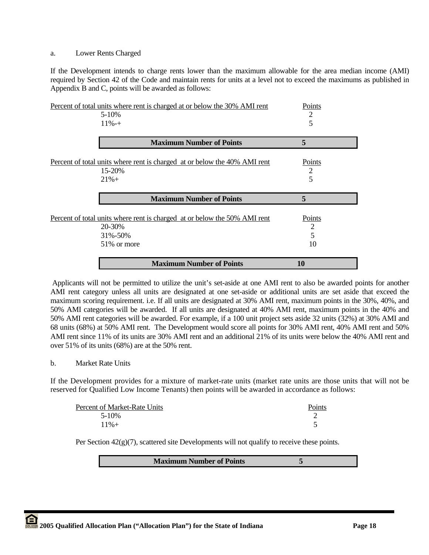#### a. Lower Rents Charged

If the Development intends to charge rents lower than the maximum allowable for the area median income (AMI) required by Section 42 of the Code and maintain rents for units at a level not to exceed the maximums as published in Appendix B and C, points will be awarded as follows:

| Percent of total units where rent is charged at or below the 30% AMI rent | Points         |
|---------------------------------------------------------------------------|----------------|
| $5 - 10\%$                                                                | $\overline{2}$ |
| $11\% - +$                                                                | 5              |
| <b>Maximum Number of Points</b>                                           | 5              |
| Percent of total units where rent is charged at or below the 40% AMI rent | Points         |
| 15-20%                                                                    | $\overline{2}$ |
| $21% +$                                                                   | 5              |
|                                                                           |                |
| <b>Maximum Number of Points</b>                                           | 5              |
| Percent of total units where rent is charged at or below the 50% AMI rent | Points         |
| 20-30%                                                                    | 2              |
| 31%-50%                                                                   | 5              |
| 51\% or more                                                              | 10             |

 Applicants will not be permitted to utilize the unit's set-aside at one AMI rent to also be awarded points for another AMI rent category unless all units are designated at one set-aside or additional units are set aside that exceed the maximum scoring requirement. i.e. If all units are designated at 30% AMI rent, maximum points in the 30%, 40%, and 50% AMI categories will be awarded. If all units are designated at 40% AMI rent, maximum points in the 40% and 50% AMI rent categories will be awarded. For example, if a 100 unit project sets aside 32 units (32%) at 30% AMI and 68 units (68%) at 50% AMI rent. The Development would score all points for 30% AMI rent, 40% AMI rent and 50% AMI rent since 11% of its units are 30% AMI rent and an additional 21% of its units were below the 40% AMI rent and over 51% of its units (68%) are at the 50% rent.

## b. Market Rate Units

If the Development provides for a mixture of market-rate units (market rate units are those units that will not be reserved for Qualified Low Income Tenants) then points will be awarded in accordance as follows:

| Percent of Market-Rate Units | <b>Points</b> |
|------------------------------|---------------|
| 5-10%                        |               |
| $11\% +$                     |               |

Per Section  $42(g)(7)$ , scattered site Developments will not qualify to receive these points.

**Maximum Number of Points 5**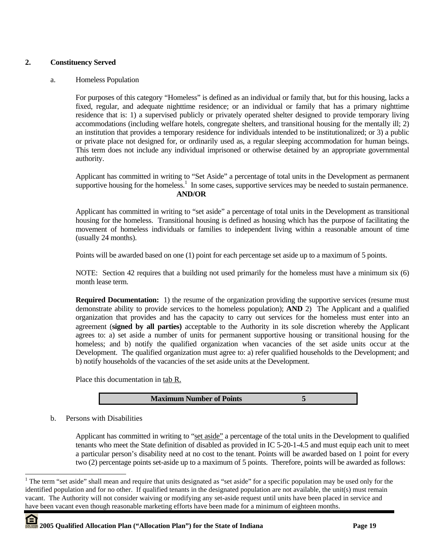## **2. Constituency Served**

#### a. Homeless Population

For purposes of this category "Homeless" is defined as an individual or family that, but for this housing, lacks a fixed, regular, and adequate nighttime residence; or an individual or family that has a primary nighttime residence that is: 1) a supervised publicly or privately operated shelter designed to provide temporary living accommodations (including welfare hotels, congregate shelters, and transitional housing for the mentally ill; 2) an institution that provides a temporary residence for individuals intended to be institutionalized; or 3) a public or private place not designed for, or ordinarily used as, a regular sleeping accommodation for human beings. This term does not include any individual imprisoned or otherwise detained by an appropriate governmental authority.

Applicant has committed in writing to "Set Aside" a percentage of total units in the Development as permanent supportive housing for the homeless.<sup>1</sup> In some cases, supportive services may be needed to sustain permanence. **AND/OR** 

Applicant has committed in writing to "set aside" a percentage of total units in the Development as transitional housing for the homeless. Transitional housing is defined as housing which has the purpose of facilitating the movement of homeless individuals or families to independent living within a reasonable amount of time (usually 24 months).

Points will be awarded based on one (1) point for each percentage set aside up to a maximum of 5 points.

NOTE: Section 42 requires that a building not used primarily for the homeless must have a minimum six (6) month lease term.

**Required Documentation:** 1) the resume of the organization providing the supportive services (resume must demonstrate ability to provide services to the homeless population); **AND** 2) The Applicant and a qualified organization that provides and has the capacity to carry out services for the homeless must enter into an agreement (**signed by all parties)** acceptable to the Authority in its sole discretion whereby the Applicant agrees to: a) set aside a number of units for permanent supportive housing or transitional housing for the homeless; and b) notify the qualified organization when vacancies of the set aside units occur at the Development. The qualified organization must agree to: a) refer qualified households to the Development; and b) notify households of the vacancies of the set aside units at the Development.

Place this documentation in tab R.

**Maximum Number of Points 5**

b. Persons with Disabilities

 $\overline{\phantom{a}}$ 

Applicant has committed in writing to "set aside" a percentage of the total units in the Development to qualified tenants who meet the State definition of disabled as provided in IC 5-20-1-4.5 and must equip each unit to meet a particular person's disability need at no cost to the tenant. Points will be awarded based on 1 point for every two (2) percentage points set-aside up to a maximum of 5 points. Therefore, points will be awarded as follows:

<sup>&</sup>lt;sup>1</sup> The term "set aside" shall mean and require that units designated as "set aside" for a specific population may be used only for the identified population and for no other. If qualified tenants in the designated population are not available, the unit(s) must remain vacant. The Authority will not consider waiving or modifying any set-aside request until units have been placed in service and have been vacant even though reasonable marketing efforts have been made for a minimum of eighteen months.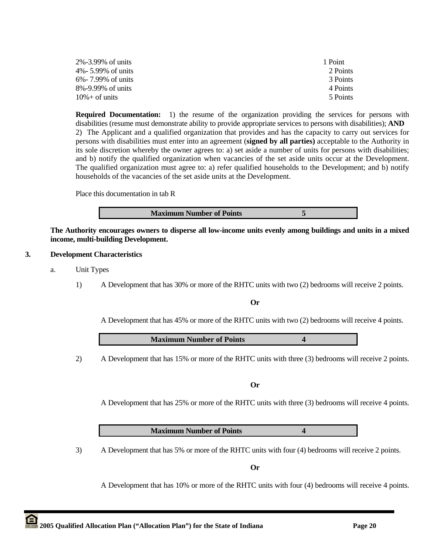| 2%-3.99% of units  | 1 Point  |
|--------------------|----------|
| 4%- 5.99% of units | 2 Points |
| 6%- 7.99% of units | 3 Points |
| 8%-9.99% of units  | 4 Points |
| $10\% +$ of units  | 5 Points |

**Required Documentation:** 1) the resume of the organization providing the services for persons with disabilities (resume must demonstrate ability to provide appropriate services to persons with disabilities); **AND**  2) The Applicant and a qualified organization that provides and has the capacity to carry out services for persons with disabilities must enter into an agreement (**signed by all parties)** acceptable to the Authority in its sole discretion whereby the owner agrees to: a) set aside a number of units for persons with disabilities; and b) notify the qualified organization when vacancies of the set aside units occur at the Development. The qualified organization must agree to: a) refer qualified households to the Development; and b) notify households of the vacancies of the set aside units at the Development.

Place this documentation in tab R

**Maximum Number of Points 5** 

**The Authority encourages owners to disperse all low-income units evenly among buildings and units in a mixed income, multi-building Development.** 

## **3. Development Characteristics**

- a. Unit Types
	- 1) A Development that has 30% or more of the RHTC units with two (2) bedrooms will receive 2 points.

## **Or**

A Development that has 45% or more of the RHTC units with two (2) bedrooms will receive 4 points.

**Maximum Number of Points 4** 

2) A Development that has 15% or more of the RHTC units with three (3) bedrooms will receive 2 points.

**Or** 

A Development that has 25% or more of the RHTC units with three (3) bedrooms will receive 4 points.

**Maximum Number of Points 4**

3) A Development that has 5% or more of the RHTC units with four (4) bedrooms will receive 2 points.

**Or** 

A Development that has 10% or more of the RHTC units with four (4) bedrooms will receive 4 points.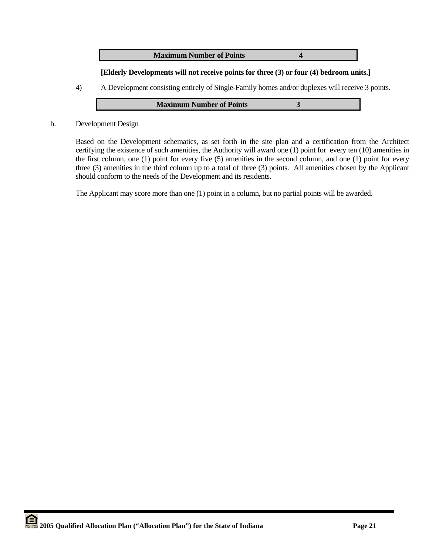**Maximum Number of Points 4** 

## **[Elderly Developments will not receive points for three (3) or four (4) bedroom units.]**

4) A Development consisting entirely of Single-Family homes and/or duplexes will receive 3 points.

| <b>Maximum Number of Points</b> |  |
|---------------------------------|--|
|---------------------------------|--|

b. Development Design

Based on the Development schematics, as set forth in the site plan and a certification from the Architect certifying the existence of such amenities, the Authority will award one (1) point for every ten (10) amenities in the first column, one (1) point for every five (5) amenities in the second column, and one (1) point for every three (3) amenities in the third column up to a total of three (3) points. All amenities chosen by the Applicant should conform to the needs of the Development and its residents.

The Applicant may score more than one (1) point in a column, but no partial points will be awarded.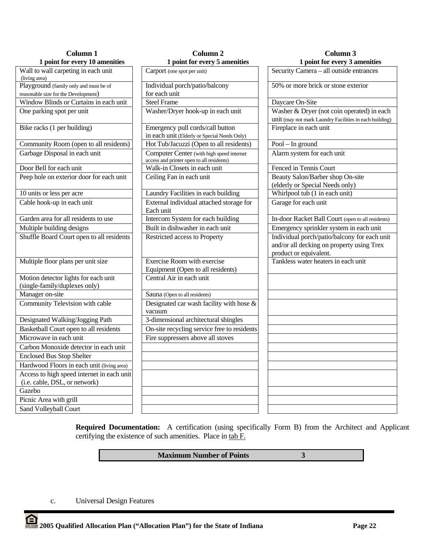| Column 1                                                              | Column <sub>2</sub>                                                                    | Column 3                                                                                                            |  |
|-----------------------------------------------------------------------|----------------------------------------------------------------------------------------|---------------------------------------------------------------------------------------------------------------------|--|
| 1 point for every 10 amenities                                        | 1 point for every 5 amenities                                                          | 1 point for every 3 amenities                                                                                       |  |
| Wall to wall carpeting in each unit<br>(living area)                  | Carport (one spot per unit)                                                            | Security Camera - all outside entrances                                                                             |  |
| Playground (family only and must be of                                | Individual porch/patio/balcony                                                         | 50% or more brick or stone exterior                                                                                 |  |
| reasonable size for the Development)                                  | for each unit                                                                          |                                                                                                                     |  |
| Window Blinds or Curtains in each unit                                | <b>Steel Frame</b>                                                                     | Daycare On-Site                                                                                                     |  |
| One parking spot per unit                                             | Washer/Dryer hook-up in each unit                                                      | Washer & Dryer (not coin operated) in each                                                                          |  |
|                                                                       |                                                                                        | unit (may not mark Laundry Facilities in each building)                                                             |  |
| Bike racks (1 per building)                                           | Emergency pull cords/call button                                                       | Fireplace in each unit                                                                                              |  |
|                                                                       | in each unit (Elderly or Special Needs Only)                                           |                                                                                                                     |  |
| Community Room (open to all residents)                                | Hot Tub/Jacuzzi (Open to all residents)                                                | $Pool - In ground$                                                                                                  |  |
| Garbage Disposal in each unit                                         | Computer Center (with high speed internet<br>access and printer open to all residents) | Alarm system for each unit                                                                                          |  |
| Door Bell for each unit                                               | Walk-in Closets in each unit                                                           | Fenced in Tennis Court                                                                                              |  |
| Peep hole on exterior door for each unit                              | Ceiling Fan in each unit                                                               | Beauty Salon/Barber shop On-site<br>(elderly or Special Needs only)                                                 |  |
| 10 units or less per acre                                             | Laundry Facilities in each building                                                    | Whirlpool tub (1 in each unit)                                                                                      |  |
| Cable hook-up in each unit                                            | External individual attached storage for<br>Each unit                                  | Garage for each unit                                                                                                |  |
| Garden area for all residents to use                                  | Intercom System for each building                                                      | In-door Racket Ball Court (open to all residents)                                                                   |  |
| Multiple building designs                                             | Built in dishwasher in each unit                                                       | Emergency sprinkler system in each unit                                                                             |  |
| Shuffle Board Court open to all residents                             | Restricted access to Property                                                          | Individual porch/patio/balcony for each unit<br>and/or all decking on property using Trex<br>product or equivalent. |  |
| Multiple floor plans per unit size                                    | <b>Exercise Room with exercise</b><br>Equipment (Open to all residents)                | Tankless water heaters in each unit                                                                                 |  |
| Motion detector lights for each unit<br>(single-family/duplexes only) | Central Air in each unit                                                               |                                                                                                                     |  |
| Manager on-site                                                       | Sauna (Open to all residents)                                                          |                                                                                                                     |  |
| Community Television with cable                                       | Designated car wash facility with hose &<br>vacuum                                     |                                                                                                                     |  |
| Designated Walking/Jogging Path                                       | 3-dimensional architectural shingles                                                   |                                                                                                                     |  |
| Basketball Court open to all residents                                | On-site recycling service free to residents                                            |                                                                                                                     |  |
| Microwave in each unit                                                | Fire suppressers above all stoves                                                      |                                                                                                                     |  |
| Carbon Monoxide detector in each unit                                 |                                                                                        |                                                                                                                     |  |
| <b>Enclosed Bus Stop Shelter</b>                                      |                                                                                        |                                                                                                                     |  |
| Hardwood Floors in each unit (living area)                            |                                                                                        |                                                                                                                     |  |
| Access to high speed internet in each unit                            |                                                                                        |                                                                                                                     |  |
| (i.e. cable, DSL, or network)<br>Gazebo                               |                                                                                        |                                                                                                                     |  |
|                                                                       |                                                                                        |                                                                                                                     |  |
| Picnic Area with grill                                                |                                                                                        |                                                                                                                     |  |
| Sand Volleyball Court                                                 |                                                                                        |                                                                                                                     |  |

**Required Documentation:** A certification (using specifically Form B) from the Architect and Applicant certifying the existence of such amenities. Place in tab F.

## **Maximum Number of Points** 3

c. Universal Design Features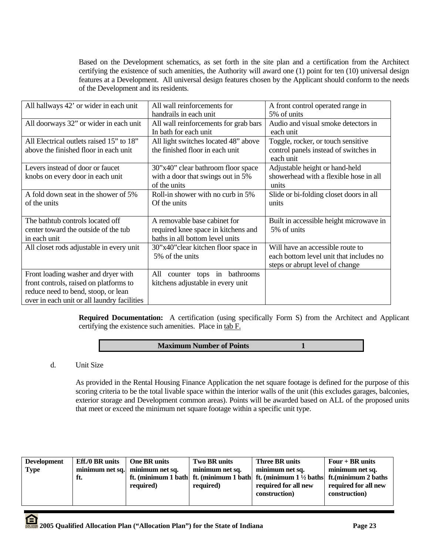Based on the Development schematics, as set forth in the site plan and a certification from the Architect certifying the existence of such amenities, the Authority will award one (1) point for ten (10) universal design features at a Development. All universal design features chosen by the Applicant should conform to the needs of the Development and its residents.

| All hallways 42' or wider in each unit      | All wall reinforcements for            | A front control operated range in       |
|---------------------------------------------|----------------------------------------|-----------------------------------------|
|                                             | handrails in each unit                 | 5% of units                             |
| All doorways 32" or wider in each unit      | All wall reinforcements for grab bars  | Audio and visual smoke detectors in     |
|                                             | In bath for each unit                  | each unit                               |
| All Electrical outlets raised 15" to 18"    | All light switches located 48" above   | Toggle, rocker, or touch sensitive      |
| above the finished floor in each unit       | the finished floor in each unit        | control panels instead of switches in   |
|                                             |                                        | each unit                               |
| Levers instead of door or faucet            | 30"x40" clear bathroom floor space     | Adjustable height or hand-held          |
| knobs on every door in each unit            | with a door that swings out in 5%      | showerhead with a flexible hose in all  |
|                                             | of the units                           | units                                   |
| A fold down seat in the shower of 5%        | Roll-in shower with no curb in 5%      | Slide or bi-folding closet doors in all |
| of the units                                | Of the units                           | units                                   |
|                                             |                                        |                                         |
| The bathtub controls located off            | A removable base cabinet for           | Built in accessible height microwave in |
| center toward the outside of the tub        | required knee space in kitchens and    | 5% of units                             |
| in each unit                                | baths in all bottom level units        |                                         |
| All closet rods adjustable in every unit    | 30"x40" clear kitchen floor space in   | Will have an accessible route to        |
|                                             | 5% of the units                        | each bottom level unit that includes no |
|                                             |                                        | steps or abrupt level of change         |
| Front loading washer and dryer with         | bathrooms<br>All<br>tops in<br>counter |                                         |
| front controls, raised on platforms to      | kitchens adjustable in every unit      |                                         |
| reduce need to bend, stoop, or lean         |                                        |                                         |
| over in each unit or all laundry facilities |                                        |                                         |

**Required Documentation:** A certification (using specifically Form S) from the Architect and Applicant certifying the existence such amenities. Place in tab F.

## **Maximum Number of Points 1**

d. Unit Size

As provided in the Rental Housing Finance Application the net square footage is defined for the purpose of this scoring criteria to be the total livable space within the interior walls of the unit (this excludes garages, balconies, exterior storage and Development common areas). Points will be awarded based on ALL of the proposed units that meet or exceed the minimum net square footage within a specific unit type.

| <b>Development</b><br><b>Type</b> | <b>Eff./0 BR</b> units<br>minimum net sq.<br>ft. | <b>One BR</b> units<br>minimum net sq.<br>required) | Two BR units<br>minimum net sq.<br>required) | <b>Three BR units</b><br>minimum net sq.<br>ft. (minimum 1 bath   ft. (minimum 1 bath   ft. (minimum 1 $\frac{1}{2}$ baths   ft. (minimum 2 baths<br>required for all new | Four $+$ BR units<br>minimum net sq.<br>required for all new |
|-----------------------------------|--------------------------------------------------|-----------------------------------------------------|----------------------------------------------|---------------------------------------------------------------------------------------------------------------------------------------------------------------------------|--------------------------------------------------------------|
|                                   |                                                  |                                                     |                                              | construction)                                                                                                                                                             | construction)                                                |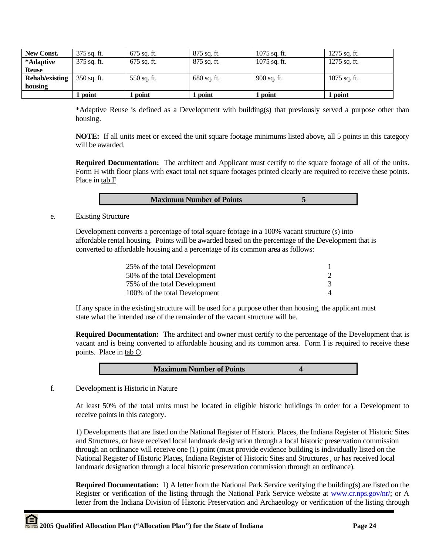| New Const.            | 375 sq. ft.   | 675 sq. ft.   | $875$ sq. ft. | $1075$ sq. ft. | $1275$ sq. ft. |
|-----------------------|---------------|---------------|---------------|----------------|----------------|
| *Adaptive             | 375 sq. ft.   | $675$ sq. ft. | $875$ sq. ft. | $1075$ sq. ft. | 1275 sq. ft.   |
| <b>Reuse</b>          |               |               |               |                |                |
| <b>Rehab/existing</b> | $350$ sq. ft. | 550 sq. ft.   | $680$ sq. ft. | 900 sq. ft.    | 1075 sq. ft.   |
| housing               |               |               |               |                |                |
|                       | point         | 1 point       | . point       | . point        | point          |

\*Adaptive Reuse is defined as a Development with building(s) that previously served a purpose other than housing.

**NOTE:** If all units meet or exceed the unit square footage minimums listed above, all 5 points in this category will be awarded.

**Required Documentation:** The architect and Applicant must certify to the square footage of all of the units. Form H with floor plans with exact total net square footages printed clearly are required to receive these points. Place in tab F

| <b>Maximum Number of Points</b> |  |
|---------------------------------|--|

e. Existing Structure

 Development converts a percentage of total square footage in a 100% vacant structure (s) into affordable rental housing. Points will be awarded based on the percentage of the Development that is converted to affordable housing and a percentage of its common area as follows:

| 25% of the total Development  |  |
|-------------------------------|--|
| 50% of the total Development  |  |
| 75% of the total Development  |  |
| 100% of the total Development |  |

If any space in the existing structure will be used for a purpose other than housing, the applicant must state what the intended use of the remainder of the vacant structure will be.

**Required Documentation:** The architect and owner must certify to the percentage of the Development that is vacant and is being converted to affordable housing and its common area. Form I is required to receive these points. Place in tab O.

f. Development is Historic in Nature

At least 50% of the total units must be located in eligible historic buildings in order for a Development to receive points in this category.

1) Developments that are listed on the National Register of Historic Places, the Indiana Register of Historic Sites and Structures, or have received local landmark designation through a local historic preservation commission through an ordinance will receive one (1) point (must provide evidence building is individually listed on the National Register of Historic Places, Indiana Register of Historic Sites and Structures , or has received local landmark designation through a local historic preservation commission through an ordinance).

**Required Documentation:** 1) A letter from the National Park Service verifying the building(s) are listed on the Register or verification of the listing through the National Park Service website at www.cr.nps.gov/nr/; or A letter from the Indiana Division of Historic Preservation and Archaeology or verification of the listing through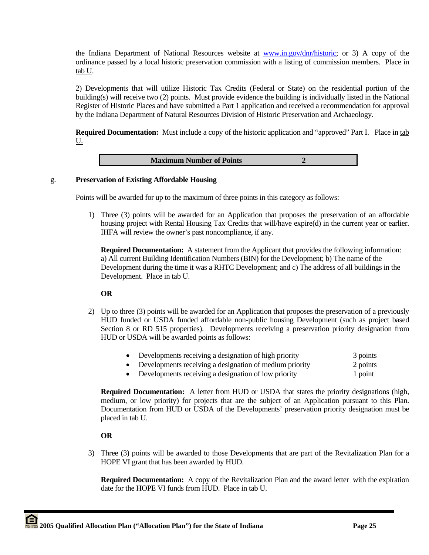the Indiana Department of National Resources website at www.in.gov/dnr/historic; or 3) A copy of the ordinance passed by a local historic preservation commission with a listing of commission members. Place in tab U.

2) Developments that will utilize Historic Tax Credits (Federal or State) on the residential portion of the building(s) will receive two (2) points. Must provide evidence the building is individually listed in the National Register of Historic Places and have submitted a Part 1 application and received a recommendation for approval by the Indiana Department of Natural Resources Division of Historic Preservation and Archaeology.

**Required Documentation:** Must include a copy of the historic application and "approved" Part I. Place in tab U.



#### g. **Preservation of Existing Affordable Housing**

Points will be awarded for up to the maximum of three points in this category as follows:

1) Three (3) points will be awarded for an Application that proposes the preservation of an affordable housing project with Rental Housing Tax Credits that will/have expire(d) in the current year or earlier. IHFA will review the owner's past noncompliance, if any.

**Required Documentation:** A statement from the Applicant that provides the following information: a) All current Building Identification Numbers (BIN) for the Development; b) The name of the Development during the time it was a RHTC Development; and c) The address of all buildings in the Development. Place in tab U.

## **OR**

- 2) Up to three (3) points will be awarded for an Application that proposes the preservation of a previously HUD funded or USDA funded affordable non-public housing Development (such as project based Section 8 or RD 515 properties). Developments receiving a preservation priority designation from HUD or USDA will be awarded points as follows:
	- Developments receiving a designation of high priority 3 points
	- Developments receiving a designation of medium priority 2 points
	- Developments receiving a designation of low priority 1 point

**Required Documentation:** A letter from HUD or USDA that states the priority designations (high, medium, or low priority) for projects that are the subject of an Application pursuant to this Plan. Documentation from HUD or USDA of the Developments' preservation priority designation must be placed in tab U.

## **OR**

3) Three (3) points will be awarded to those Developments that are part of the Revitalization Plan for a HOPE VI grant that has been awarded by HUD.

**Required Documentation:** A copy of the Revitalization Plan and the award letter with the expiration date for the HOPE VI funds from HUD. Place in tab U.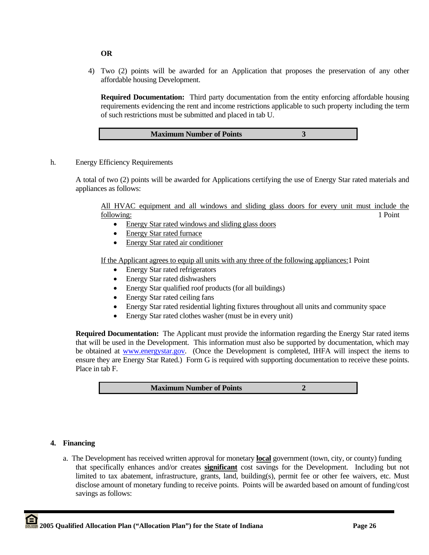## **OR**

4) Two (2) points will be awarded for an Application that proposes the preservation of any other affordable housing Development.

**Required Documentation:** Third party documentation from the entity enforcing affordable housing requirements evidencing the rent and income restrictions applicable to such property including the term of such restrictions must be submitted and placed in tab U.

| <b>Maximum Number of Points</b> |  |
|---------------------------------|--|
|                                 |  |

h. Energy Efficiency Requirements

A total of two (2) points will be awarded for Applications certifying the use of Energy Star rated materials and appliances as follows:

All HVAC equipment and all windows and sliding glass doors for every unit must include the following: 1 Point

- Energy Star rated windows and sliding glass doors
- Energy Star rated furnace
- Energy Star rated air conditioner

If the Applicant agrees to equip all units with any three of the following appliances:1 Point

- Energy Star rated refrigerators
- Energy Star rated dishwashers
- Energy Star qualified roof products (for all buildings)
- Energy Star rated ceiling fans
- Energy Star rated residential lighting fixtures throughout all units and community space
- Energy Star rated clothes washer (must be in every unit)

**Required Documentation:** The Applicant must provide the information regarding the Energy Star rated items that will be used in the Development. This information must also be supported by documentation, which may be obtained at www.energystar.gov. (Once the Development is completed, IHFA will inspect the items to ensure they are Energy Star Rated.) Form G is required with supporting documentation to receive these points. Place in tab F.

**Maximum Number of Points** 2

#### **4. Financing**

a. The Development has received written approval for monetary **local** government (town, city, or county) funding that specifically enhances and/or creates **significant** cost savings for the Development. Including but not limited to tax abatement, infrastructure, grants, land, building(s), permit fee or other fee waivers, etc. Must disclose amount of monetary funding to receive points. Points will be awarded based on amount of funding/cost savings as follows: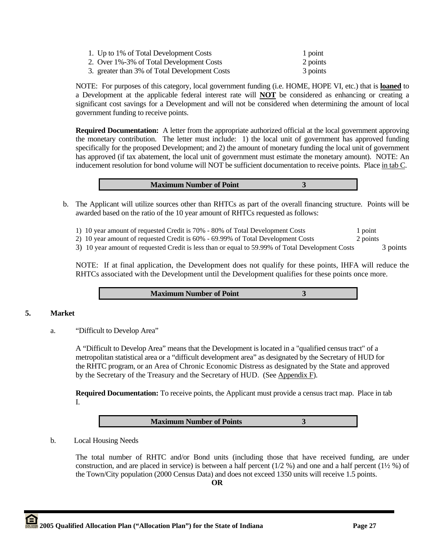| 1. Up to 1% of Total Development Costs        | 1 point  |
|-----------------------------------------------|----------|
| 2. Over 1%-3% of Total Development Costs      | 2 points |
| 3. greater than 3% of Total Development Costs | 3 points |

 NOTE: For purposes of this category, local government funding (i.e. HOME, HOPE VI, etc.) that is **loaned** to a Development at the applicable federal interest rate will **NOT** be considered as enhancing or creating a significant cost savings for a Development and will not be considered when determining the amount of local government funding to receive points.

**Required Documentation:** A letter from the appropriate authorized official at the local government approving the monetary contribution. The letter must include: 1) the local unit of government has approved funding specifically for the proposed Development; and 2) the amount of monetary funding the local unit of government has approved (if tax abatement, the local unit of government must estimate the monetary amount). NOTE: An inducement resolution for bond volume will NOT be sufficient documentation to receive points. Place in tab C.

| <b>Maximum Number of Point</b> |  |
|--------------------------------|--|

- b. The Applicant will utilize sources other than RHTCs as part of the overall financing structure. Points will be awarded based on the ratio of the 10 year amount of RHTCs requested as follows:
	- 1) 10 year amount of requested Credit is 70% 80% of Total Development Costs 1 point

2) 10 year amount of requested Credit is 60% - 69.99% of Total Development Costs 2 points

3) 10 year amount of requested Credit is less than or equal to 59.99% of Total Development Costs 3 points

NOTE: If at final application, the Development does not qualify for these points, IHFA will reduce the RHTCs associated with the Development until the Development qualifies for these points once more.

**Maximum Number of Point 3** 

## **5. Market**

a. "Difficult to Develop Area"

A "Difficult to Develop Area" means that the Development is located in a "qualified census tract" of a metropolitan statistical area or a "difficult development area" as designated by the Secretary of HUD for the RHTC program, or an Area of Chronic Economic Distress as designated by the State and approved by the Secretary of the Treasury and the Secretary of HUD. (See Appendix F).

**Required Documentation:** To receive points, the Applicant must provide a census tract map. Place in tab I.

**Maximum Number of Points 3** 

b. Local Housing Needs

 The total number of RHTC and/or Bond units (including those that have received funding, are under construction, and are placed in service) is between a half percent  $(1/2 \%)$  and one and a half percent  $(1\frac{1}{2} \%)$  of the Town/City population (2000 Census Data) and does not exceed 1350 units will receive 1.5 points.

**OR**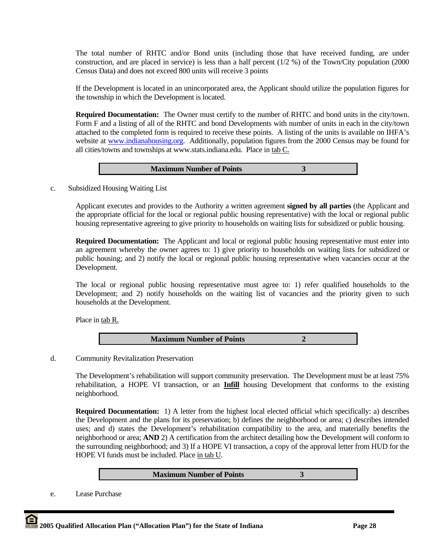The total number of RHTC and/or Bond units (including those that have received funding, are under construction, and are placed in service) is less than a half percent (1/2 %) of the Town/City population (2000 Census Data) and does not exceed 800 units will receive 3 points

If the Development is located in an unincorporated area, the Applicant should utilize the population figures for the township in which the Development is located.

**Required Documentation:** The Owner must certify to the number of RHTC and bond units in the city/town. Form F and a listing of all of the RHTC and bond Developments with number of units in each in the city/town attached to the completed form is required to receive these points. A listing of the units is available on IHFA's website at www.indianahousing.org. Additionally, population figures from the 2000 Census may be found for all cities/towns and townships at www.stats.indiana.edu. Place in tab C.

| <b>Maximum Number of Points</b> |  |
|---------------------------------|--|
|---------------------------------|--|

c. Subsidized Housing Waiting List

Applicant executes and provides to the Authority a written agreement **signed by all parties** (the Applicant and the appropriate official for the local or regional public housing representative) with the local or regional public housing representative agreeing to give priority to households on waiting lists for subsidized or public housing.

**Required Documentation:** The Applicant and local or regional public housing representative must enter into an agreement whereby the owner agrees to: 1) give priority to households on waiting lists for subsidized or public housing; and 2) notify the local or regional public housing representative when vacancies occur at the Development.

The local or regional public housing representative must agree to: 1) refer qualified households to the Development; and 2) notify households on the waiting list of vacancies and the priority given to such households at the Development.

Place in tab R.

**Maximum Number of Points 2** 

d. Community Revitalization Preservation

 The Development's rehabilitation will support community preservation. The Development must be at least 75% rehabilitation, a HOPE VI transaction, or an **Infill** housing Development that conforms to the existing neighborhood.

 **Required Documentation:** 1) A letter from the highest local elected official which specifically: a) describes the Development and the plans for its preservation; b) defines the neighborhood or area; c) describes intended uses; and d) states the Development's rehabilitation compatibility to the area, and materially benefits the neighborhood or area; **AND** 2) A certification from the architect detailing how the Development will conform to the surrounding neighborhood; and 3) If a HOPE VI transaction, a copy of the approval letter from HUD for the HOPE VI funds must be included. Place in tab U.

#### **Maximum Number of Points 3**

e. Lease Purchase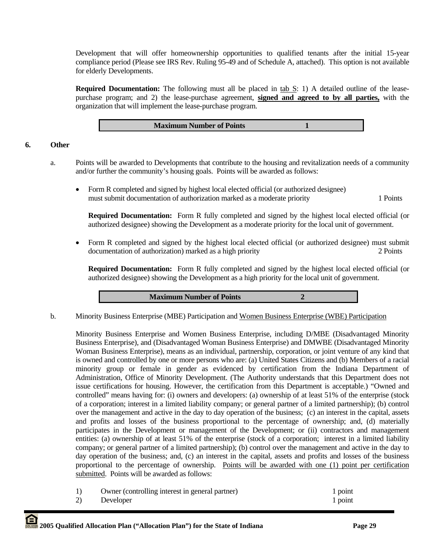Development that will offer homeownership opportunities to qualified tenants after the initial 15-year compliance period (Please see IRS Rev. Ruling 95-49 and of Schedule A, attached). This option is not available for elderly Developments.

**Required Documentation:** The following must all be placed in tab S: 1) A detailed outline of the leasepurchase program; and 2) the lease-purchase agreement, **signed and agreed to by all parties,** with the organization that will implement the lease-purchase program.

**Maximum Number of Points** 1

## **6. Other**

- a. Points will be awarded to Developments that contribute to the housing and revitalization needs of a community and/or further the community's housing goals. Points will be awarded as follows:
	- Form R completed and signed by highest local elected official (or authorized designee) must submit documentation of authorization marked as a moderate priority 1 Points

**Required Documentation:** Form R fully completed and signed by the highest local elected official (or authorized designee) showing the Development as a moderate priority for the local unit of government.

• Form R completed and signed by the highest local elected official (or authorized designee) must submit documentation of authorization) marked as a high priority 2 Points 2 Points

**Required Documentation:** Form R fully completed and signed by the highest local elected official (or authorized designee) showing the Development as a high priority for the local unit of government.

**Maximum Number of Points 2** 

b. Minority Business Enterprise (MBE) Participation and Women Business Enterprise (WBE) Participation

Minority Business Enterprise and Women Business Enterprise, including D/MBE (Disadvantaged Minority Business Enterprise), and (Disadvantaged Woman Business Enterprise) and DMWBE (Disadvantaged Minority Woman Business Enterprise), means as an individual, partnership, corporation, or joint venture of any kind that is owned and controlled by one or more persons who are: (a) United States Citizens and (b) Members of a racial minority group or female in gender as evidenced by certification from the Indiana Department of Administration, Office of Minority Development. (The Authority understands that this Department does not issue certifications for housing. However, the certification from this Department is acceptable.) "Owned and controlled" means having for: (i) owners and developers: (a) ownership of at least 51% of the enterprise (stock of a corporation; interest in a limited liability company; or general partner of a limited partnership); (b) control over the management and active in the day to day operation of the business; (c) an interest in the capital, assets and profits and losses of the business proportional to the percentage of ownership; and, (d) materially participates in the Development or management of the Development; or (ii) contractors and management entities: (a) ownership of at least 51% of the enterprise (stock of a corporation; interest in a limited liability company; or general partner of a limited partnership); (b) control over the management and active in the day to day operation of the business; and, (c) an interest in the capital, assets and profits and losses of the business proportional to the percentage of ownership. Points will be awarded with one (1) point per certification submitted. Points will be awarded as follows:

|    | Owner (controlling interest in general partner) | 1 point |
|----|-------------------------------------------------|---------|
| 2) | Developer                                       | 1 point |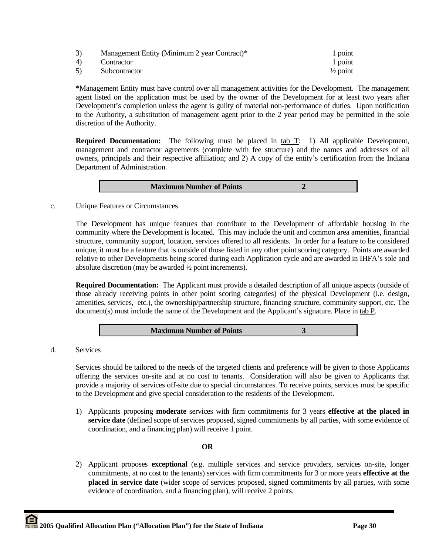| 3)  | Management Entity (Minimum 2 year Contract)* | 1 point             |
|-----|----------------------------------------------|---------------------|
| 4). | Contractor                                   | 1 point             |
| 5)  | Subcontractor                                | $\frac{1}{2}$ point |

\*Management Entity must have control over all management activities for the Development. The management agent listed on the application must be used by the owner of the Development for at least two years after Development's completion unless the agent is guilty of material non-performance of duties. Upon notification to the Authority, a substitution of management agent prior to the 2 year period may be permitted in the sole discretion of the Authority.

**Required Documentation:** The following must be placed in tab T: 1) All applicable Development, management and contractor agreements (complete with fee structure) and the names and addresses of all owners, principals and their respective affiliation; and 2) A copy of the entity's certification from the Indiana Department of Administration.

| <b>Maximum Number of Points</b> |
|---------------------------------|
|---------------------------------|

c. Unique Features or Circumstances

The Development has unique features that contribute to the Development of affordable housing in the community where the Development is located. This may include the unit and common area amenities, financial structure, community support, location, services offered to all residents. In order for a feature to be considered unique, it must be a feature that is outside of those listed in any other point scoring category. Points are awarded relative to other Developments being scored during each Application cycle and are awarded in IHFA's sole and absolute discretion (may be awarded ½ point increments).

**Required Documentation:** The Applicant must provide a detailed description of all unique aspects (outside of those already receiving points in other point scoring categories) of the physical Development (i.e. design, amenities, services, etc.), the ownership/partnership structure, financing structure, community support, etc. The document(s) must include the name of the Development and the Applicant's signature. Place in tab P.

| <b>Maximum Number of Points</b> |
|---------------------------------|
|---------------------------------|

d. Services

Services should be tailored to the needs of the targeted clients and preference will be given to those Applicants offering the services on-site and at no cost to tenants. Consideration will also be given to Applicants that provide a majority of services off-site due to special circumstances. To receive points, services must be specific to the Development and give special consideration to the residents of the Development.

1) Applicants proposing **moderate** services with firm commitments for 3 years **effective at the placed in service date** (defined scope of services proposed, signed commitments by all parties, with some evidence of coordination, and a financing plan) will receive 1 point.

## **OR**

2) Applicant proposes **exceptional** (e.g. multiple services and service providers, services on-site, longer commitments, at no cost to the tenants) services with firm commitments for 3 or more years **effective at the placed in service date** (wider scope of services proposed, signed commitments by all parties, with some evidence of coordination, and a financing plan), will receive 2 points.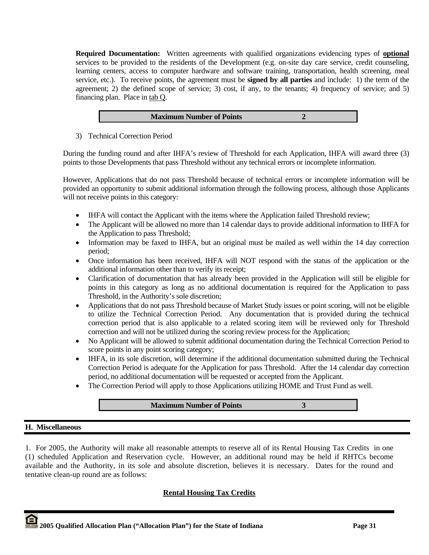**Required Documentation:** Written agreements with qualified organizations evidencing types of **optional**  services to be provided to the residents of the Development (e.g. on-site day care service, credit counseling, learning centers, access to computer hardware and software training, transportation, health screening, meal service, etc.). To receive points, the agreement must be **signed by all parties** and include: 1) the term of the agreement; 2) the defined scope of service; 3) cost, if any, to the tenants; 4) frequency of service; and 5) financing plan. Place in tab Q.

| <b>Maximum Number of Points</b> |
|---------------------------------|
|---------------------------------|

3) Technical Correction Period

During the funding round and after IHFA's review of Threshold for each Application, IHFA will award three (3) points to those Developments that pass Threshold without any technical errors or incomplete information.

However, Applications that do not pass Threshold because of technical errors or incomplete information will be provided an opportunity to submit additional information through the following process, although those Applicants will not receive points in this category:

- IHFA will contact the Applicant with the items where the Application failed Threshold review;
- The Applicant will be allowed no more than 14 calendar days to provide additional information to IHFA for the Application to pass Threshold;
- Information may be faxed to IHFA, but an original must be mailed as well within the 14 day correction period;
- Once information has been received, IHFA will NOT respond with the status of the application or the additional information other than to verify its receipt;
- Clarification of documentation that has already been provided in the Application will still be eligible for points in this category as long as no additional documentation is required for the Application to pass Threshold, in the Authority's sole discretion;
- Applications that do not pass Threshold because of Market Study issues or point scoring, will not be eligible to utilize the Technical Correction Period. Any documentation that is provided during the technical correction period that is also applicable to a related scoring item will be reviewed only for Threshold correction and will not be utilized during the scoring review process for the Application;
- No Applicant will be allowed to submit additional documentation during the Technical Correction Period to score points in any point scoring category;
- IHFA, in its sole discretion, will determine if the additional documentation submitted during the Technical Correction Period is adequate for the Application for pass Threshold. After the 14 calendar day correction period, no additional documentation will be requested or accepted from the Applicant.
- The Correction Period will apply to those Applications utilizing HOME and Trust Fund as well.

## **Maximum Number of Points 3**

## **H. Miscellaneous**

1. For 2005, the Authority will make all reasonable attempts to reserve all of its Rental Housing Tax Credits in one (1) scheduled Application and Reservation cycle. However, an additional round may be held if RHTCs become available and the Authority, in its sole and absolute discretion, believes it is necessary. Dates for the round and tentative clean-up round are as follows:

## **Rental Housing Tax Credits**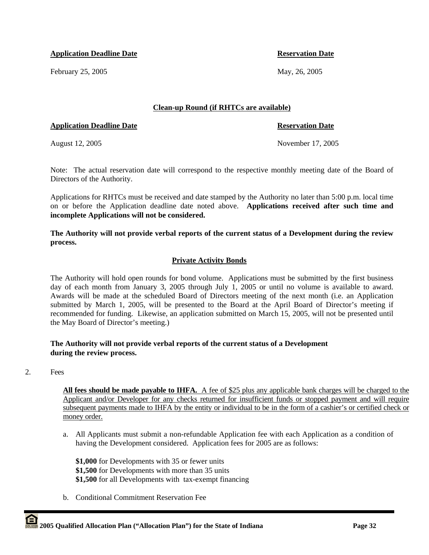**Application Deadline Date Application Date Reservation Date** 

February 25, 2005 May, 26, 2005

## **Clean-up Round (if RHTCs are available)**

## **Application Deadline Date Reservation Date** Reservation Date

August 12, 2005 November 17, 2005

Note: The actual reservation date will correspond to the respective monthly meeting date of the Board of Directors of the Authority.

Applications for RHTCs must be received and date stamped by the Authority no later than 5:00 p.m. local time on or before the Application deadline date noted above. **Applications received after such time and incomplete Applications will not be considered.** 

**The Authority will not provide verbal reports of the current status of a Development during the review process.** 

# **Private Activity Bonds**

The Authority will hold open rounds for bond volume. Applications must be submitted by the first business day of each month from January 3, 2005 through July 1, 2005 or until no volume is available to award. Awards will be made at the scheduled Board of Directors meeting of the next month (i.e. an Application submitted by March 1, 2005, will be presented to the Board at the April Board of Director's meeting if recommended for funding. Likewise, an application submitted on March 15, 2005, will not be presented until the May Board of Director's meeting.)

## **The Authority will not provide verbal reports of the current status of a Development during the review process.**

2. Fees

**All fees should be made payable to IHFA.** A fee of \$25 plus any applicable bank charges will be charged to the Applicant and/or Developer for any checks returned for insufficient funds or stopped payment and will require subsequent payments made to IHFA by the entity or individual to be in the form of a cashier's or certified check or money order.

a. All Applicants must submit a non-refundable Application fee with each Application as a condition of having the Development considered. Application fees for 2005 are as follows:

**\$1,000** for Developments with 35 or fewer units **\$1,500** for Developments with more than 35 units **\$1,500** for all Developments with tax-exempt financing

b. Conditional Commitment Reservation Fee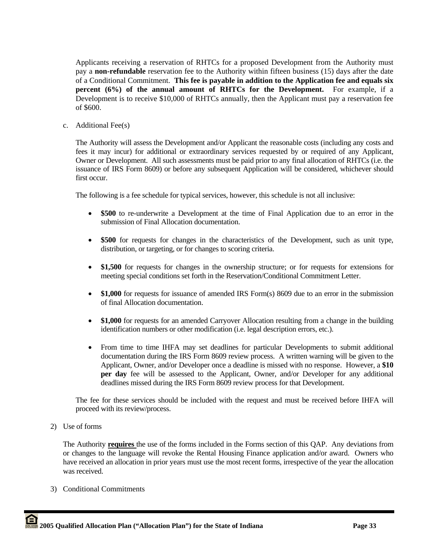Applicants receiving a reservation of RHTCs for a proposed Development from the Authority must pay a **non-refundable** reservation fee to the Authority within fifteen business (15) days after the date of a Conditional Commitment. **This fee is payable in addition to the Application fee and equals six percent (6%) of the annual amount of RHTCs for the Development.** For example, if a Development is to receive \$10,000 of RHTCs annually, then the Applicant must pay a reservation fee of \$600.

c. Additional Fee(s)

The Authority will assess the Development and/or Applicant the reasonable costs (including any costs and fees it may incur) for additional or extraordinary services requested by or required of any Applicant, Owner or Development. All such assessments must be paid prior to any final allocation of RHTCs (i.e. the issuance of IRS Form 8609) or before any subsequent Application will be considered, whichever should first occur.

The following is a fee schedule for typical services, however, this schedule is not all inclusive:

- **\$500** to re-underwrite a Development at the time of Final Application due to an error in the submission of Final Allocation documentation.
- **\$500** for requests for changes in the characteristics of the Development, such as unit type, distribution, or targeting, or for changes to scoring criteria.
- **\$1,500** for requests for changes in the ownership structure; or for requests for extensions for meeting special conditions set forth in the Reservation/Conditional Commitment Letter.
- **\$1,000** for requests for issuance of amended IRS Form(s) 8609 due to an error in the submission of final Allocation documentation.
- **\$1,000** for requests for an amended Carryover Allocation resulting from a change in the building identification numbers or other modification (i.e. legal description errors, etc.).
- From time to time IHFA may set deadlines for particular Developments to submit additional documentation during the IRS Form 8609 review process. A written warning will be given to the Applicant, Owner, and/or Developer once a deadline is missed with no response. However, a **\$10 per day** fee will be assessed to the Applicant, Owner, and/or Developer for any additional deadlines missed during the IRS Form 8609 review process for that Development.

The fee for these services should be included with the request and must be received before IHFA will proceed with its review/process.

2) Use of forms

The Authority **requires** the use of the forms included in the Forms section of this QAP. Any deviations from or changes to the language will revoke the Rental Housing Finance application and/or award. Owners who have received an allocation in prior years must use the most recent forms, irrespective of the year the allocation was received.

3) Conditional Commitments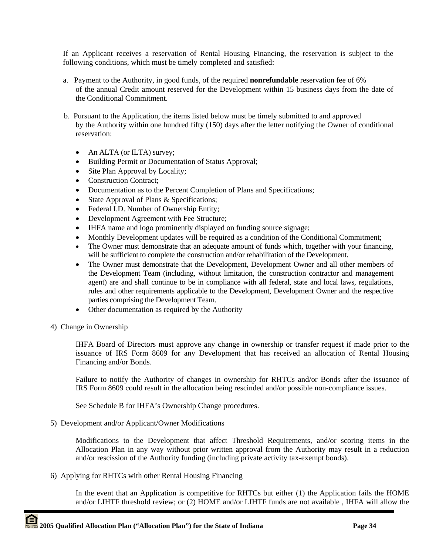If an Applicant receives a reservation of Rental Housing Financing, the reservation is subject to the following conditions, which must be timely completed and satisfied:

- a. Payment to the Authority, in good funds, of the required **nonrefundable** reservation fee of 6% of the annual Credit amount reserved for the Development within 15 business days from the date of the Conditional Commitment.
- b. Pursuant to the Application, the items listed below must be timely submitted to and approved by the Authority within one hundred fifty (150) days after the letter notifying the Owner of conditional reservation:
	- An ALTA (or ILTA) survey;
	- Building Permit or Documentation of Status Approval;
	- Site Plan Approval by Locality;
	- Construction Contract:
	- Documentation as to the Percent Completion of Plans and Specifications;
	- State Approval of Plans & Specifications;
	- Federal I.D. Number of Ownership Entity;
	- Development Agreement with Fee Structure;
	- IHFA name and logo prominently displayed on funding source signage;
	- Monthly Development updates will be required as a condition of the Conditional Commitment;
	- The Owner must demonstrate that an adequate amount of funds which, together with your financing, will be sufficient to complete the construction and/or rehabilitation of the Development.
	- The Owner must demonstrate that the Development, Development Owner and all other members of the Development Team (including, without limitation, the construction contractor and management agent) are and shall continue to be in compliance with all federal, state and local laws, regulations, rules and other requirements applicable to the Development, Development Owner and the respective parties comprising the Development Team.
	- Other documentation as required by the Authority
- 4) Change in Ownership

IHFA Board of Directors must approve any change in ownership or transfer request if made prior to the issuance of IRS Form 8609 for any Development that has received an allocation of Rental Housing Financing and/or Bonds.

Failure to notify the Authority of changes in ownership for RHTCs and/or Bonds after the issuance of IRS Form 8609 could result in the allocation being rescinded and/or possible non-compliance issues.

See Schedule B for IHFA's Ownership Change procedures.

5) Development and/or Applicant/Owner Modifications

 Modifications to the Development that affect Threshold Requirements, and/or scoring items in the Allocation Plan in any way without prior written approval from the Authority may result in a reduction and/or rescission of the Authority funding (including private activity tax-exempt bonds).

6) Applying for RHTCs with other Rental Housing Financing

In the event that an Application is competitive for RHTCs but either (1) the Application fails the HOME and/or LIHTF threshold review; or (2) HOME and/or LIHTF funds are not available , IHFA will allow the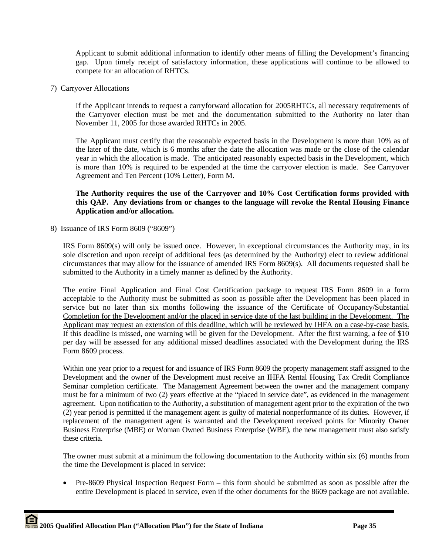Applicant to submit additional information to identify other means of filling the Development's financing gap. Upon timely receipt of satisfactory information, these applications will continue to be allowed to compete for an allocation of RHTCs.

7) Carryover Allocations

If the Applicant intends to request a carryforward allocation for 2005RHTCs, all necessary requirements of the Carryover election must be met and the documentation submitted to the Authority no later than November 11, 2005 for those awarded RHTCs in 2005.

The Applicant must certify that the reasonable expected basis in the Development is more than 10% as of the later of the date, which is 6 months after the date the allocation was made or the close of the calendar year in which the allocation is made. The anticipated reasonably expected basis in the Development, which is more than 10% is required to be expended at the time the carryover election is made. See Carryover Agreement and Ten Percent (10% Letter), Form M.

## **The Authority requires the use of the Carryover and 10% Cost Certification forms provided with this QAP. Any deviations from or changes to the language will revoke the Rental Housing Finance Application and/or allocation.**

8) Issuance of IRS Form 8609 ("8609")

IRS Form 8609(s) will only be issued once. However, in exceptional circumstances the Authority may, in its sole discretion and upon receipt of additional fees (as determined by the Authority) elect to review additional circumstances that may allow for the issuance of amended IRS Form 8609(s). All documents requested shall be submitted to the Authority in a timely manner as defined by the Authority.

The entire Final Application and Final Cost Certification package to request IRS Form 8609 in a form acceptable to the Authority must be submitted as soon as possible after the Development has been placed in service but no later than six months following the issuance of the Certificate of Occupancy/Substantial Completion for the Development and/or the placed in service date of the last building in the Development. The Applicant may request an extension of this deadline, which will be reviewed by IHFA on a case-by-case basis. If this deadline is missed, one warning will be given for the Development. After the first warning, a fee of \$10 per day will be assessed for any additional missed deadlines associated with the Development during the IRS Form 8609 process.

Within one year prior to a request for and issuance of IRS Form 8609 the property management staff assigned to the Development and the owner of the Development must receive an IHFA Rental Housing Tax Credit Compliance Seminar completion certificate. The Management Agreement between the owner and the management company must be for a minimum of two (2) years effective at the "placed in service date", as evidenced in the management agreement. Upon notification to the Authority, a substitution of management agent prior to the expiration of the two (2) year period is permitted if the management agent is guilty of material nonperformance of its duties. However, if replacement of the management agent is warranted and the Development received points for Minority Owner Business Enterprise (MBE) or Woman Owned Business Enterprise (WBE), the new management must also satisfy these criteria.

The owner must submit at a minimum the following documentation to the Authority within six (6) months from the time the Development is placed in service:

• Pre-8609 Physical Inspection Request Form – this form should be submitted as soon as possible after the entire Development is placed in service, even if the other documents for the 8609 package are not available.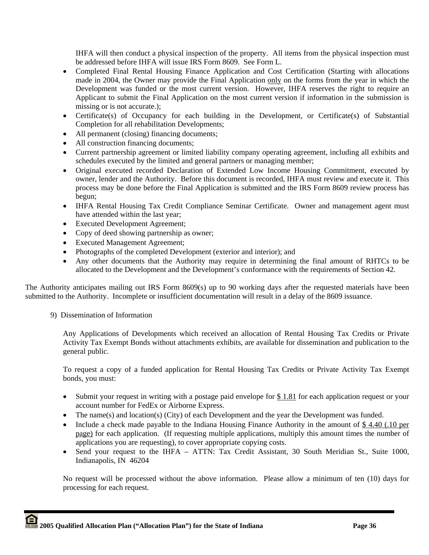IHFA will then conduct a physical inspection of the property. All items from the physical inspection must be addressed before IHFA will issue IRS Form 8609. See Form L.

- Completed Final Rental Housing Finance Application and Cost Certification (Starting with allocations made in 2004, the Owner may provide the Final Application only on the forms from the year in which the Development was funded or the most current version. However, IHFA reserves the right to require an Applicant to submit the Final Application on the most current version if information in the submission is missing or is not accurate.);
- Certificate(s) of Occupancy for each building in the Development, or Certificate(s) of Substantial Completion for all rehabilitation Developments;
- All permanent (closing) financing documents;
- All construction financing documents;
- Current partnership agreement or limited liability company operating agreement, including all exhibits and schedules executed by the limited and general partners or managing member;
- Original executed recorded Declaration of Extended Low Income Housing Commitment, executed by owner, lender and the Authority. Before this document is recorded, IHFA must review and execute it. This process may be done before the Final Application is submitted and the IRS Form 8609 review process has begun;
- IHFA Rental Housing Tax Credit Compliance Seminar Certificate. Owner and management agent must have attended within the last year;
- Executed Development Agreement;
- Copy of deed showing partnership as owner;
- Executed Management Agreement;
- Photographs of the completed Development (exterior and interior); and
- Any other documents that the Authority may require in determining the final amount of RHTCs to be allocated to the Development and the Development's conformance with the requirements of Section 42.

The Authority anticipates mailing out IRS Form 8609(s) up to 90 working days after the requested materials have been submitted to the Authority. Incomplete or insufficient documentation will result in a delay of the 8609 issuance.

9) Dissemination of Information

Any Applications of Developments which received an allocation of Rental Housing Tax Credits or Private Activity Tax Exempt Bonds without attachments exhibits, are available for dissemination and publication to the general public.

To request a copy of a funded application for Rental Housing Tax Credits or Private Activity Tax Exempt bonds, you must:

- Submit your request in writing with a postage paid envelope for \$1.81 for each application request or your account number for FedEx or Airborne Express.
- The name(s) and location(s) (City) of each Development and the year the Development was funded.
- Include a check made payable to the Indiana Housing Finance Authority in the amount of \$4.40 (.10 per page) for each application. (If requesting multiple applications, multiply this amount times the number of applications you are requesting), to cover appropriate copying costs.
- Send your request to the IHFA ATTN: Tax Credit Assistant, 30 South Meridian St., Suite 1000, Indianapolis, IN 46204

No request will be processed without the above information. Please allow a minimum of ten (10) days for processing for each request.